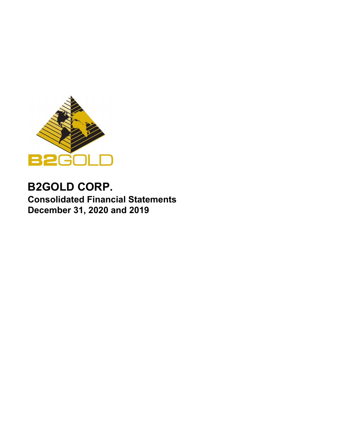

# **B2GOLD CORP.**

**Consolidated Financial Statements December 31, 2020 and 2019**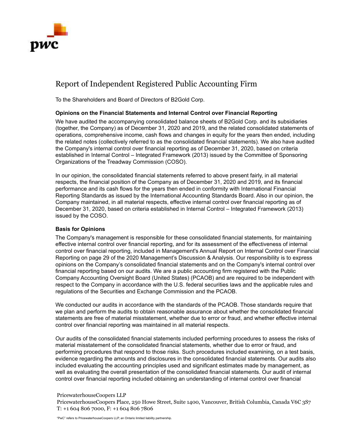

### Report of Independent Registered Public Accounting Firm

To the Shareholders and Board of Directors of B2Gold Corp.

#### **Opinions on the Financial Statements and Internal Control over Financial Reporting**

We have audited the accompanying consolidated balance sheets of B2Gold Corp. and its subsidiaries (together, the Company) as of December 31, 2020 and 2019, and the related consolidated statements of operations, comprehensive income, cash flows and changes in equity for the years then ended, including the related notes (collectively referred to as the consolidated financial statements). We also have audited the Company's internal control over financial reporting as of December 31, 2020, based on criteria established in Internal Control – Integrated Framework (2013) issued by the Committee of Sponsoring Organizations of the Treadway Commission (COSO).

In our opinion, the consolidated financial statements referred to above present fairly, in all material respects, the financial position of the Company as of December 31, 2020 and 2019, and its financial performance and its cash flows for the years then ended in conformity with International Financial Reporting Standards as issued by the International Accounting Standards Board. Also in our opinion, the Company maintained, in all material respects, effective internal control over financial reporting as of December 31, 2020, based on criteria established in Internal Control – Integrated Framework (2013) issued by the COSO.

### **Basis for Opinions**

The Company's management is responsible for these consolidated financial statements, for maintaining effective internal control over financial reporting, and for its assessment of the effectiveness of internal control over financial reporting, included in Management's Annual Report on Internal Control over Financial Reporting on page 29 of the 2020 Management's Discussion & Analysis. Our responsibility is to express opinions on the Company's consolidated financial statements and on the Company's internal control over financial reporting based on our audits. We are a public accounting firm registered with the Public Company Accounting Oversight Board (United States) (PCAOB) and are required to be independent with respect to the Company in accordance with the U.S. federal securities laws and the applicable rules and regulations of the Securities and Exchange Commission and the PCAOB.

We conducted our audits in accordance with the standards of the PCAOB. Those standards require that we plan and perform the audits to obtain reasonable assurance about whether the consolidated financial statements are free of material misstatement, whether due to error or fraud, and whether effective internal control over financial reporting was maintained in all material respects.

Our audits of the consolidated financial statements included performing procedures to assess the risks of material misstatement of the consolidated financial statements, whether due to error or fraud, and performing procedures that respond to those risks. Such procedures included examining, on a test basis, evidence regarding the amounts and disclosures in the consolidated financial statements. Our audits also included evaluating the accounting principles used and significant estimates made by management, as well as evaluating the overall presentation of the consolidated financial statements. Our audit of internal control over financial reporting included obtaining an understanding of internal control over financial

#### PricewaterhouseCoopers LLP

PricewaterhouseCoopers Place, 250 Howe Street, Suite 1400, Vancouver, British Columbia, Canada V6C 3S7 T: +1 604 806 7000, F: +1 604 806 7806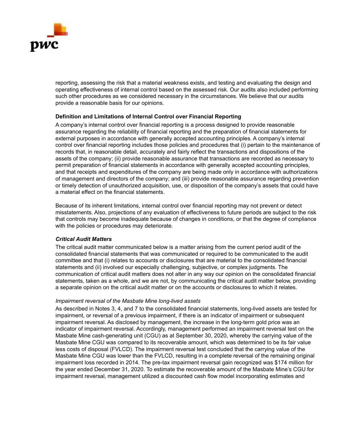

reporting, assessing the risk that a material weakness exists, and testing and evaluating the design and operating effectiveness of internal control based on the assessed risk. Our audits also included performing such other procedures as we considered necessary in the circumstances. We believe that our audits provide a reasonable basis for our opinions.

#### **Definition and Limitations of Internal Control over Financial Reporting**

A company's internal control over financial reporting is a process designed to provide reasonable assurance regarding the reliability of financial reporting and the preparation of financial statements for external purposes in accordance with generally accepted accounting principles. A company's internal control over financial reporting includes those policies and procedures that (i) pertain to the maintenance of records that, in reasonable detail, accurately and fairly reflect the transactions and dispositions of the assets of the company; (ii) provide reasonable assurance that transactions are recorded as necessary to permit preparation of financial statements in accordance with generally accepted accounting principles, and that receipts and expenditures of the company are being made only in accordance with authorizations of management and directors of the company; and (iii) provide reasonable assurance regarding prevention or timely detection of unauthorized acquisition, use, or disposition of the company's assets that could have a material effect on the financial statements.

Because of its inherent limitations, internal control over financial reporting may not prevent or detect misstatements. Also, projections of any evaluation of effectiveness to future periods are subject to the risk that controls may become inadequate because of changes in conditions, or that the degree of compliance with the policies or procedures may deteriorate.

### *Critical Audit Matters*

The critical audit matter communicated below is a matter arising from the current period audit of the consolidated financial statements that was communicated or required to be communicated to the audit committee and that (i) relates to accounts or disclosures that are material to the consolidated financial statements and (ii) involved our especially challenging, subjective, or complex judgments. The communication of critical audit matters does not alter in any way our opinion on the consolidated financial statements, taken as a whole, and we are not, by communicating the critical audit matter below, providing a separate opinion on the critical audit matter or on the accounts or disclosures to which it relates.

#### *Impairment reversal of the Masbate Mine long-lived assets*

As described in Notes 3, 4, and 7 to the consolidated financial statements, long-lived assets are tested for impairment, or reversal of a previous impairment, if there is an indicator of impairment or subsequent impairment reversal. As disclosed by management, the increase in the long-term gold price was an indicator of impairment reversal. Accordingly, management performed an impairment reversal test on the Masbate Mine cash-generating unit (CGU) as at September 30, 2020, whereby the carrying value of the Masbate Mine CGU was compared to its recoverable amount, which was determined to be its fair value less costs of disposal (FVLCD). The impairment reversal test concluded that the carrying value of the Masbate Mine CGU was lower than the FVLCD, resulting in a complete reversal of the remaining original impairment loss recorded in 2014. The pre-tax impairment reversal gain recognized was \$174 million for the year ended December 31, 2020. To estimate the recoverable amount of the Masbate Mine's CGU for impairment reversal, management utilized a discounted cash flow model incorporating estimates and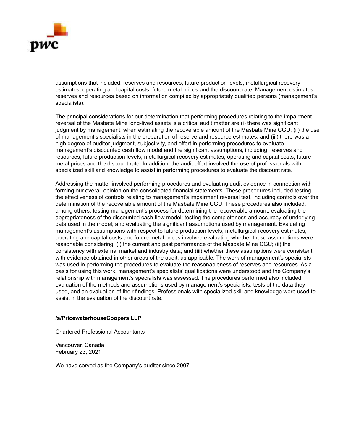

assumptions that included: reserves and resources, future production levels, metallurgical recovery estimates, operating and capital costs, future metal prices and the discount rate. Management estimates reserves and resources based on information compiled by appropriately qualified persons (management's specialists).

The principal considerations for our determination that performing procedures relating to the impairment reversal of the Masbate Mine long-lived assets is a critical audit matter are (i) there was significant judgment by management, when estimating the recoverable amount of the Masbate Mine CGU; (ii) the use of management's specialists in the preparation of reserve and resource estimates; and (iii) there was a high degree of auditor judgment, subjectivity, and effort in performing procedures to evaluate management's discounted cash flow model and the significant assumptions, including: reserves and resources, future production levels, metallurgical recovery estimates, operating and capital costs, future metal prices and the discount rate. In addition, the audit effort involved the use of professionals with specialized skill and knowledge to assist in performing procedures to evaluate the discount rate.

Addressing the matter involved performing procedures and evaluating audit evidence in connection with forming our overall opinion on the consolidated financial statements. These procedures included testing the effectiveness of controls relating to management's impairment reversal test, including controls over the determination of the recoverable amount of the Masbate Mine CGU. These procedures also included, among others, testing management's process for determining the recoverable amount; evaluating the appropriateness of the discounted cash flow model; testing the completeness and accuracy of underlying data used in the model; and evaluating the significant assumptions used by management. Evaluating management's assumptions with respect to future production levels, metallurgical recovery estimates, operating and capital costs and future metal prices involved evaluating whether these assumptions were reasonable considering: (i) the current and past performance of the Masbate Mine CGU; (ii) the consistency with external market and industry data; and (iii) whether these assumptions were consistent with evidence obtained in other areas of the audit, as applicable. The work of management's specialists was used in performing the procedures to evaluate the reasonableness of reserves and resources. As a basis for using this work, management's specialists' qualifications were understood and the Company's relationship with management's specialists was assessed. The procedures performed also included evaluation of the methods and assumptions used by management's specialists, tests of the data they used, and an evaluation of their findings. Professionals with specialized skill and knowledge were used to assist in the evaluation of the discount rate.

#### **/s/PricewaterhouseCoopers LLP**

Chartered Professional Accountants

Vancouver, Canada February 23, 2021

We have served as the Company's auditor since 2007.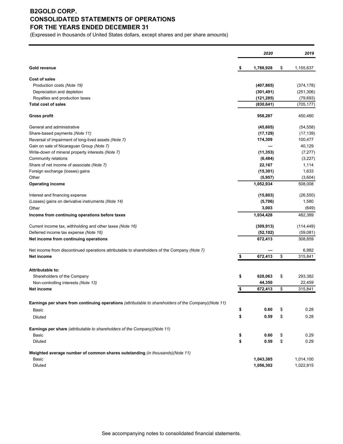### **B2GOLD CORP. CONSOLIDATED STATEMENTS OF OPERATIONS FOR THE YEARS ENDED DECEMBER 31**

(Expressed in thousands of United States dollars, except shares and per share amounts)

|                                                                                                      | 2020          | 2019            |
|------------------------------------------------------------------------------------------------------|---------------|-----------------|
| Gold revenue                                                                                         | 1,788,928     | \$<br>1,155,637 |
| Cost of sales                                                                                        |               |                 |
| Production costs (Note 19)                                                                           | (407, 865)    | (374, 178)      |
| Depreciation and depletion                                                                           | (301, 491)    | (251, 306)      |
| Royalties and production taxes                                                                       | (121, 285)    | (79, 693)       |
| <b>Total cost of sales</b>                                                                           | (830, 641)    | (705, 177)      |
| <b>Gross profit</b>                                                                                  | 958,287       | 450,460         |
| General and administrative                                                                           | (45, 605)     | (54, 558)       |
| Share-based payments (Note 11)                                                                       | (17, 129)     | (17, 139)       |
| Reversal of impairment of long-lived assets (Note 7)                                                 | 174,309       | 100,477         |
| Gain on sale of Nicaraguan Group (Note 7)                                                            |               | 40,129          |
| Write-down of mineral property interests (Note 7)                                                    | (11, 353)     | (7, 277)        |
| Community relations                                                                                  | (6, 484)      | (3,227)         |
| Share of net income of associate (Note 7)                                                            | 22,167        | 1,114           |
| Foreign exchange (losses) gains                                                                      | (15, 301)     | 1,633           |
| Other                                                                                                | (5, 957)      | (3,604)         |
| <b>Operating income</b>                                                                              | 1,052,934     | 508,008         |
| Interest and financing expense                                                                       | (15, 803)     | (26, 550)       |
| (Losses) gains on derivative instruments (Note 14)                                                   | (5,706)       | 1,580           |
| Other                                                                                                | 3,003         | (649)           |
| Income from continuing operations before taxes                                                       | 1,034,428     | 482,389         |
| Current income tax, withholding and other taxes (Note 16)                                            | (309, 913)    | (114, 449)      |
| Deferred income tax expense (Note 16)                                                                | (52, 102)     | (59,081)        |
| Net income from continuing operations                                                                | 672,413       | 308,859         |
| Net income from discontinued operations attributable to shareholders of the Company (Note 7)         |               | 6,982           |
| Net income                                                                                           | \$<br>672,413 | \$<br>315,841   |
| Attributable to:                                                                                     |               |                 |
| Shareholders of the Company                                                                          | \$<br>628,063 | \$<br>293,382   |
| Non-controlling interests (Note 13)                                                                  | 44,350        | 22,459          |
| Net income                                                                                           | \$<br>672,413 | \$<br>315,841   |
|                                                                                                      |               |                 |
| Earnings per share from continuing operations (attributable to shareholders of the Company)(Note 11) |               |                 |
| Basic                                                                                                | \$<br>0.60    | \$<br>0.28      |
| <b>Diluted</b>                                                                                       | \$<br>0.59    | \$<br>0.28      |
| Earnings per share (attributable to shareholders of the Company) (Note 11)                           |               |                 |
| Basic                                                                                                | \$<br>0.60    | \$<br>0.29      |
| Diluted                                                                                              | \$<br>0.59    | \$<br>0.29      |
| Weighted average number of common shares outstanding (in thousands) (Note 11)                        |               |                 |
| Basic                                                                                                | 1,043,385     | 1,014,100       |
| Diluted                                                                                              | 1,056,302     | 1,022,915       |
|                                                                                                      |               |                 |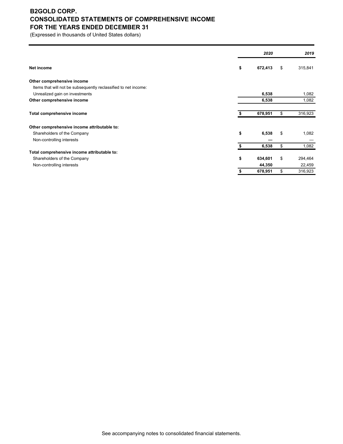### **B2GOLD CORP. CONSOLIDATED STATEMENTS OF COMPREHENSIVE INCOME FOR THE YEARS ENDED DECEMBER 31**

(Expressed in thousands of United States dollars)

|                                                                 |    | 2020    | 2019          |
|-----------------------------------------------------------------|----|---------|---------------|
| Net income                                                      | \$ | 672,413 | \$<br>315,841 |
| Other comprehensive income                                      |    |         |               |
| Items that will not be subsequently reclassified to net income: |    |         |               |
| Unrealized gain on investments                                  |    | 6,538   | 1,082         |
| Other comprehensive income                                      |    | 6,538   | 1,082         |
|                                                                 |    |         |               |
| Total comprehensive income                                      |    | 678,951 | \$<br>316,923 |
| Other comprehensive income attributable to:                     |    |         |               |
| Shareholders of the Company                                     | \$ | 6,538   | \$<br>1,082   |
| Non-controlling interests                                       |    |         |               |
|                                                                 | s. | 6,538   | \$<br>1,082   |
| Total comprehensive income attributable to:                     |    |         |               |
| Shareholders of the Company                                     | \$ | 634,601 | \$<br>294,464 |
| Non-controlling interests                                       |    | 44,350  | 22,459        |
|                                                                 | \$ | 678,951 | \$<br>316,923 |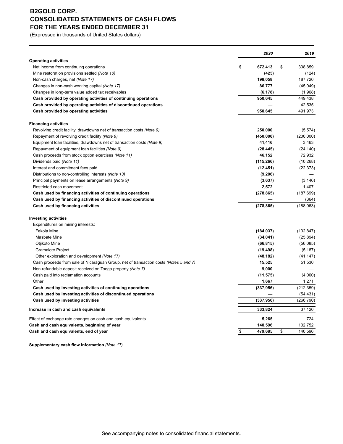### **B2GOLD CORP. CONSOLIDATED STATEMENTS OF CASH FLOWS FOR THE YEARS ENDED DECEMBER 31**

(Expressed in thousands of United States dollars)

|                                                                                       | 2020          | 2019          |
|---------------------------------------------------------------------------------------|---------------|---------------|
| <b>Operating activities</b>                                                           |               |               |
| Net income from continuing operations                                                 | \$<br>672,413 | \$<br>308,859 |
| Mine restoration provisions settled (Note 10)                                         | (425)         | (124)         |
| Non-cash charges, net (Note 17)                                                       | 198,058       | 187,720       |
| Changes in non-cash working capital (Note 17)                                         | 86,777        | (45,049)      |
| Changes in long-term value added tax receivables                                      | (6, 178)      | (1,968)       |
| Cash provided by operating activities of continuing operations                        | 950,645       | 449.438       |
| Cash provided by operating activities of discontinued operations                      |               | 42,535        |
| Cash provided by operating activities                                                 | 950,645       | 491,973       |
| <b>Financing activities</b>                                                           |               |               |
| Revolving credit facility, drawdowns net of transaction costs (Note 9)                | 250,000       | (5, 574)      |
| Repayment of revolving credit facility (Note 9)                                       | (450,000)     | (200,000)     |
| Equipment loan facilities, drawdowns net of transaction costs (Note 9)                | 41,416        | 3,463         |
| Repayment of equipment loan facilities (Note 9)                                       | (28, 445)     | (24, 140)     |
| Cash proceeds from stock option exercises (Note 11)                                   | 46,152        | 72,932        |
| Dividends paid (Note 11)                                                              | (115, 266)    | (10, 268)     |
| Interest and commitment fees paid                                                     | (12, 451)     | (22, 373)     |
| Distributions to non-controlling interests (Note 13)                                  | (9,206)       |               |
| Principal payments on lease arrangements (Note 9)                                     | (3,637)       | (3, 146)      |
| Restricted cash movement                                                              | 2,572         | 1,407         |
| Cash used by financing activities of continuing operations                            | (278, 865)    | (187, 699)    |
| Cash used by financing activities of discontinued operations                          |               | (364)         |
| Cash used by financing activities                                                     | (278, 865)    | (188,063)     |
| <b>Investing activities</b>                                                           |               |               |
| Expenditures on mining interests:                                                     |               |               |
| Fekola Mine                                                                           | (184, 037)    | (132, 847)    |
| Masbate Mine                                                                          | (34, 041)     | (25, 894)     |
| Otjikoto Mine                                                                         | (66, 815)     | (56,085)      |
| Gramalote Project                                                                     | (19, 498)     | (5, 187)      |
| Other exploration and development (Note 17)                                           | (48, 182)     | (41, 147)     |
| Cash proceeds from sale of Nicaraguan Group, net of transaction costs (Notes 5 and 7) | 15,525        | 51,530        |
| Non-refundable deposit received on Toega property (Note 7)                            | 9,000         |               |
| Cash paid into reclamation accounts                                                   | (11, 575)     | (4,000)       |
| Other                                                                                 | 1,667         | 1,271         |
| Cash used by investing activities of continuing operations                            | (337, 956)    | (212, 359)    |
| Cash used by investing activities of discontinued operations                          |               | (54, 431)     |
| Cash used by investing activities                                                     | (337, 956)    | (266, 790)    |
| Increase in cash and cash equivalents                                                 | 333,824       | 37,120        |
| Effect of exchange rate changes on cash and cash equivalents                          | 5,265         | 724           |
| Cash and cash equivalents, beginning of year                                          | 140,596       | 102,752       |
| Cash and cash equivalents, end of year                                                | \$<br>479,685 | \$<br>140,596 |
|                                                                                       |               |               |

**Supplementary cash flow information** *(Note 17)*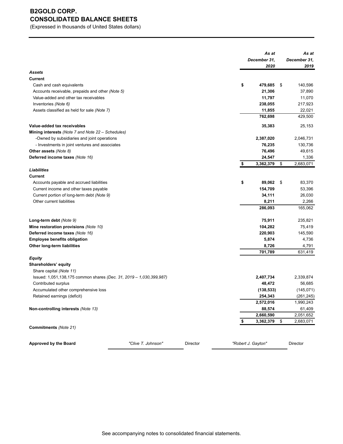### **B2GOLD CORP. CONSOLIDATED BALANCE SHEETS**

(Expressed in thousands of United States dollars)

|                                                                     |                    |          | As at<br>December 31,<br>2020 |      | As at<br>December 31,<br>2019 |
|---------------------------------------------------------------------|--------------------|----------|-------------------------------|------|-------------------------------|
| Assets                                                              |                    |          |                               |      |                               |
| Current                                                             |                    |          |                               |      |                               |
| Cash and cash equivalents                                           |                    |          | \$<br>479,685                 | \$   | 140,596                       |
| Accounts receivable, prepaids and other (Note 5)                    |                    |          | 21,306                        |      | 37,890                        |
| Value-added and other tax receivables                               |                    |          | 11,797                        |      | 11,070                        |
| Inventories (Note 6)                                                |                    |          | 238,055                       |      | 217,923                       |
| Assets classified as held for sale (Note 7)                         |                    |          | 11,855                        |      | 22,021                        |
|                                                                     |                    |          | 762,698                       |      | 429,500                       |
| Value-added tax receivables                                         |                    |          | 35,383                        |      | 25,153                        |
| <b>Mining interests</b> (Note 7 and Note 22 – Schedules)            |                    |          |                               |      |                               |
| -Owned by subsidiaries and joint operations                         |                    |          | 2,387,020                     |      | 2,046,731                     |
| - Investments in joint ventures and associates                      |                    |          | 76,235                        |      | 130,736                       |
| Other assets (Note 8)                                               |                    |          | 76,496                        |      | 49,615                        |
| Deferred income taxes (Note 16)                                     |                    |          | 24,547                        |      | 1,336                         |
|                                                                     |                    |          | \$<br>3,362,379               | \$   | 2,683,071                     |
| Liabilities                                                         |                    |          |                               |      |                               |
| Current                                                             |                    |          |                               |      |                               |
| Accounts payable and accrued liabilities                            |                    |          | \$<br>89,062                  | - \$ | 83,370                        |
| Current income and other taxes payable                              |                    |          | 154,709                       |      | 53,396                        |
| Current portion of long-term debt (Note 9)                          |                    |          | 34,111                        |      | 26,030                        |
| Other current liabilities                                           |                    |          | 8,211                         |      | 2,266                         |
|                                                                     |                    |          | 286,093                       |      | 165,062                       |
| Long-term debt (Note 9)                                             |                    |          | 75,911                        |      | 235,821                       |
| Mine restoration provisions (Note 10)                               |                    |          | 104,282                       |      | 75,419                        |
| Deferred income taxes (Note 16)                                     |                    |          | 220,903                       |      | 145,590                       |
| <b>Employee benefits obligation</b>                                 |                    |          | 5,874                         |      | 4,736                         |
| Other long-term liabilities                                         |                    |          | 8,726                         |      | 4,791                         |
|                                                                     |                    |          | 701,789                       |      | 631,419                       |
| Equity                                                              |                    |          |                               |      |                               |
| Shareholders' equity                                                |                    |          |                               |      |                               |
| Share capital (Note 11)                                             |                    |          |                               |      |                               |
| Issued: 1,051,138,175 common shares (Dec. 31, 2019 - 1,030,399,987) |                    |          | 2,407,734                     |      | 2,339,874                     |
| Contributed surplus                                                 |                    |          | 48,472                        |      | 56,685                        |
| Accumulated other comprehensive loss                                |                    |          | (138, 533)                    |      | (145, 071)                    |
| Retained earnings (deficit)                                         |                    |          | 254,343                       |      | (261, 245)                    |
|                                                                     |                    |          | 2,572,016                     |      | 1,990,243                     |
| Non-controlling interests (Note 13)                                 |                    |          | 88,574                        |      | 61,409                        |
|                                                                     |                    |          | 2,660,590                     |      | 2,051,652                     |
|                                                                     |                    |          | \$<br>3,362,379               | \$   | 2,683,071                     |
| Commitments (Note 21)<br>Approved by the Board                      | "Clive T. Johnson" | Director | "Robert J. Gayton"            |      | Director                      |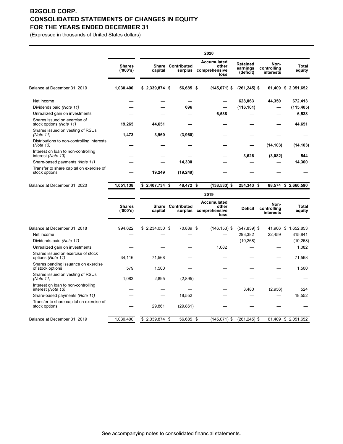### **B2GOLD CORP. CONSOLIDATED STATEMENTS OF CHANGES IN EQUITY FOR THE YEARS ENDED DECEMBER 31**

(Expressed in thousands of United States dollars)

|                                                           |                           |                         |                        | 2020                                                 |                                          |                                  |                     |
|-----------------------------------------------------------|---------------------------|-------------------------|------------------------|------------------------------------------------------|------------------------------------------|----------------------------------|---------------------|
|                                                           | <b>Shares</b><br>('000's) | <b>Share</b><br>capital | Contributed<br>surplus | <b>Accumulated</b><br>other<br>comprehensive<br>loss | <b>Retained</b><br>earnings<br>(deficit) | Non-<br>controlling<br>interests | Total<br>equity     |
| Balance at December 31, 2019                              | 1,030,400                 | $$2,339,874$ \$         | 56,685 \$              | $(145,071)$ \$                                       | $(261, 245)$ \$                          | 61,409                           | \$2,051,652         |
| Net income                                                |                           |                         |                        |                                                      | 628,063                                  | 44,350                           | 672,413             |
| Dividends paid (Note 11)                                  |                           |                         | 696                    |                                                      | (116, 101)                               |                                  | (115, 405)          |
| Unrealized gain on investments                            |                           |                         |                        | 6,538                                                |                                          |                                  | 6,538               |
| Shares issued on exercise of<br>stock options (Note 11)   | 19,265                    | 44,651                  |                        |                                                      |                                          |                                  | 44,651              |
| Shares issued on vesting of RSUs<br>(Note 11)             | 1,473                     | 3,960                   | (3,960)                |                                                      |                                          |                                  |                     |
| Distributions to non-controlling interests<br>(Note 13)   |                           |                         |                        |                                                      |                                          | (14, 103)                        | (14, 103)           |
| Interest on loan to non-controlling<br>interest (Note 13) |                           |                         |                        |                                                      | 3,626                                    | (3,082)                          | 544                 |
| Share-based payments (Note 11)                            |                           |                         | 14,300                 |                                                      |                                          |                                  | 14,300              |
| Transfer to share capital on exercise of<br>stock options |                           | 19,249                  | (19, 249)              |                                                      |                                          |                                  |                     |
| Balance at December 31, 2020                              | 1,051,138                 | $$2,407,734$ \$         | 48,472 \$              | $(138, 533)$ \$                                      | 254,343 \$                               |                                  | 88,574 \$ 2,660,590 |

|                                                           |                           |                         |                        | 2019                                          |                 |                                  |                 |
|-----------------------------------------------------------|---------------------------|-------------------------|------------------------|-----------------------------------------------|-----------------|----------------------------------|-----------------|
|                                                           | <b>Shares</b><br>('000's) | <b>Share</b><br>capital | Contributed<br>surplus | Accumulated<br>other<br>comprehensive<br>loss | <b>Deficit</b>  | Non-<br>controlling<br>interests | Total<br>equity |
| Balance at December 31, 2018                              | 994,622                   | $$2,234,050$ \$         | 70,889 \$              | $(146, 153)$ \$                               | $(547, 839)$ \$ | 41,906                           | \$<br>1,652,853 |
| Net income                                                |                           |                         |                        |                                               | 293,382         | 22,459                           | 315,841         |
| Dividends paid (Note 11)                                  |                           |                         |                        |                                               | (10, 268)       |                                  | (10, 268)       |
| Unrealized gain on investments                            |                           |                         |                        | 1,082                                         |                 |                                  | 1,082           |
| Shares issued on exercise of stock<br>options (Note 11)   | 34,116                    | 71,568                  |                        |                                               |                 |                                  | 71,568          |
| Shares pending issuance on exercise<br>of stock options   | 579                       | 1,500                   |                        |                                               |                 |                                  | 1,500           |
| Shares issued on vesting of RSUs<br>(Note 11)             | 1,083                     | 2,895                   | (2,895)                |                                               |                 |                                  |                 |
| Interest on loan to non-controlling<br>interest (Note 13) |                           |                         |                        |                                               | 3,480           | (2,956)                          | 524             |
| Share-based payments (Note 11)                            |                           |                         | 18,552                 |                                               |                 |                                  | 18,552          |
| Transfer to share capital on exercise of<br>stock options |                           | 29,861                  | (29, 861)              |                                               |                 |                                  |                 |
| Balance at December 31, 2019                              | 1,030,400                 | \$2,339,874             | 56,685 \$<br>\$.       | $(145.071)$ \$                                | $(261, 245)$ \$ | 61,409                           | \$2,051,652     |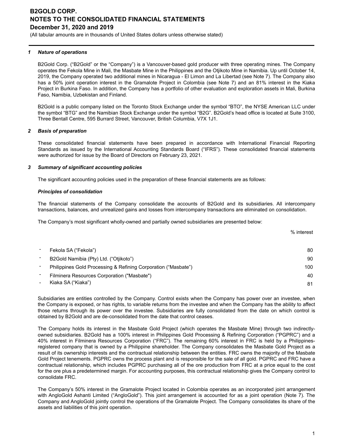(All tabular amounts are in thousands of United States dollars unless otherwise stated)

#### *1 Nature of operations*

B2Gold Corp. ("B2Gold" or the "Company") is a Vancouver-based gold producer with three operating mines. The Company operates the Fekola Mine in Mali, the Masbate Mine in the Philippines and the Otjikoto Mine in Namibia. Up until October 14, 2019, the Company operated two additional mines in Nicaragua - El Limon and La Libertad (see Note 7). The Company also has a 50% joint operation interest in the Gramalote Project in Colombia (see Note 7) and an 81% interest in the Kiaka Project in Burkina Faso. In addition, the Company has a portfolio of other evaluation and exploration assets in Mali, Burkina Faso, Namibia, Uzbekistan and Finland.

B2Gold is a public company listed on the Toronto Stock Exchange under the symbol "BTO", the NYSE American LLC under the symbol "BTG" and the Namibian Stock Exchange under the symbol "B2G". B2Gold's head office is located at Suite 3100, Three Bentall Centre, 595 Burrard Street, Vancouver, British Columbia, V7X 1J1.

#### *2 Basis of preparation*

These consolidated financial statements have been prepared in accordance with International Financial Reporting Standards as issued by the International Accounting Standards Board ("IFRS"). These consolidated financial statements were authorized for issue by the Board of Directors on February 23, 2021.

#### *3 Summary of significant accounting policies*

The significant accounting policies used in the preparation of these financial statements are as follows:

#### *Principles of consolidation*

The financial statements of the Company consolidate the accounts of B2Gold and its subsidiaries. All intercompany transactions, balances, and unrealized gains and losses from intercompany transactions are eliminated on consolidation.

The Company's most significant wholly-owned and partially owned subsidiaries are presented below:

| -                        | Fekola SA ("Fekola")                                           | 80  |
|--------------------------|----------------------------------------------------------------|-----|
| -                        | B2Gold Namibia (Pty) Ltd. ("Otiikoto")                         | 90  |
| -                        | Philippines Gold Processing & Refining Corporation ("Masbate") | 100 |
| -                        | Filminera Resources Corporation ("Masbate")                    | 40  |
| $\overline{\phantom{0}}$ | Kiaka SA ("Kiaka")                                             | 81  |

Subsidiaries are entities controlled by the Company. Control exists when the Company has power over an investee, when the Company is exposed, or has rights, to variable returns from the investee and when the Company has the ability to affect those returns through its power over the investee. Subsidiaries are fully consolidated from the date on which control is obtained by B2Gold and are de-consolidated from the date that control ceases.

The Company holds its interest in the Masbate Gold Project (which operates the Masbate Mine) through two indirectlyowned subsidiaries. B2Gold has a 100% interest in Philippines Gold Processing & Refining Corporation ("PGPRC") and a 40% interest in Filminera Resources Corporation ("FRC"). The remaining 60% interest in FRC is held by a Philippinesregistered company that is owned by a Philippine shareholder. The Company consolidates the Masbate Gold Project as a result of its ownership interests and the contractual relationship between the entities. FRC owns the majority of the Masbate Gold Project tenements. PGPRC owns the process plant and is responsible for the sale of all gold. PGPRC and FRC have a contractual relationship, which includes PGPRC purchasing all of the ore production from FRC at a price equal to the cost for the ore plus a predetermined margin. For accounting purposes, this contractual relationship gives the Company control to consolidate FRC.

The Company's 50% interest in the Gramalote Project located in Colombia operates as an incorporated joint arrangement with AngloGold Ashanti Limited ("AngloGold"). This joint arrangement is accounted for as a joint operation (Note 7). The Company and AngloGold jointly control the operations of the Gramalote Project. The Company consolidates its share of the assets and liabilities of this joint operation.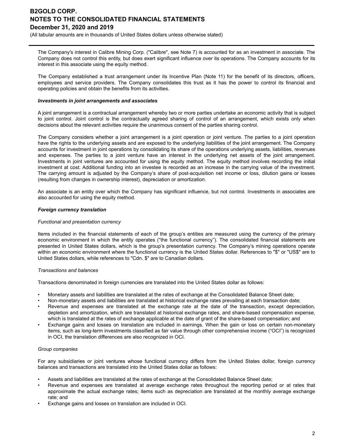(All tabular amounts are in thousands of United States dollars unless otherwise stated)

The Company's interest in Calibre Mining Corp. ("Calibre", see Note 7) is accounted for as an investment in associate. The Company does not control this entity, but does exert significant influence over its operations. The Company accounts for its interest in this associate using the equity method.

The Company established a trust arrangement under its Incentive Plan (Note 11) for the benefit of its directors, officers, employees and service providers. The Company consolidates this trust as it has the power to control its financial and operating policies and obtain the benefits from its activities.

#### *Investments in joint arrangements and associates*

A joint arrangement is a contractual arrangement whereby two or more parties undertake an economic activity that is subject to joint control. Joint control is the contractually agreed sharing of control of an arrangement, which exists only when decisions about the relevant activities require the unanimous consent of the parties sharing control.

The Company considers whether a joint arrangement is a joint operation or joint venture. The parties to a joint operation have the rights to the underlying assets and are exposed to the underlying liabilities of the joint arrangement. The Company accounts for investment in joint operations by consolidating its share of the operations underlying assets, liabilities, revenues and expenses. The parties to a joint venture have an interest in the underlying net assets of the joint arrangement. Investments in joint ventures are accounted for using the equity method. The equity method involves recording the initial investment at cost. Additional funding into an investee is recorded as an increase in the carrying value of the investment. The carrying amount is adjusted by the Company's share of post-acquisition net income or loss, dilution gains or losses (resulting from changes in ownership interest), depreciation or amortization.

An associate is an entity over which the Company has significant influence, but not control. Investments in associates are also accounted for using the equity method.

#### *Foreign currency translation*

#### *Functional and presentation currency*

Items included in the financial statements of each of the group's entities are measured using the currency of the primary economic environment in which the entity operates ("the functional currency"). The consolidated financial statements are presented in United States dollars, which is the group's presentation currency. The Company's mining operations operate within an economic environment where the functional currency is the United States dollar. References to "\$" or "US\$" are to United States dollars, while references to "Cdn. \$" are to Canadian dollars.

#### *Transactions and balances*

Transactions denominated in foreign currencies are translated into the United States dollar as follows:

- Monetary assets and liabilities are translated at the rates of exchange at the Consolidated Balance Sheet date;
- Non-monetary assets and liabilities are translated at historical exchange rates prevailing at each transaction date;
- Revenue and expenses are translated at the exchange rate at the date of the transaction, except depreciation, depletion and amortization, which are translated at historical exchange rates, and share-based compensation expense, which is translated at the rates of exchange applicable at the date of grant of the share-based compensation; and
- Exchange gains and losses on translation are included in earnings. When the gain or loss on certain non-monetary items, such as long-term investments classified as fair value through other comprehensive income ("OCI") is recognized in OCI, the translation differences are also recognized in OCI.

#### *Group companies*

For any subsidiaries or joint ventures whose functional currency differs from the United States dollar, foreign currency balances and transactions are translated into the United States dollar as follows:

- Assets and liabilities are translated at the rates of exchange at the Consolidated Balance Sheet date;
- Revenue and expenses are translated at average exchange rates throughout the reporting period or at rates that approximate the actual exchange rates; items such as depreciation are translated at the monthly average exchange rate; and
- Exchange gains and losses on translation are included in OCI.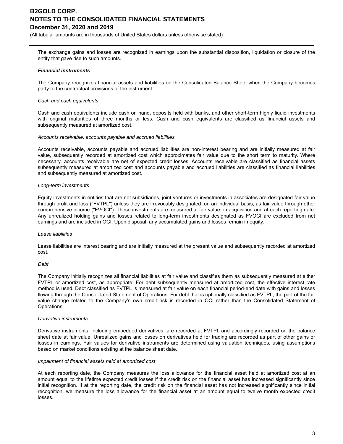(All tabular amounts are in thousands of United States dollars unless otherwise stated)

The exchange gains and losses are recognized in earnings upon the substantial disposition, liquidation or closure of the entity that gave rise to such amounts.

#### *Financial instruments*

The Company recognizes financial assets and liabilities on the Consolidated Balance Sheet when the Company becomes party to the contractual provisions of the instrument.

#### *Cash and cash equivalents*

Cash and cash equivalents include cash on hand, deposits held with banks, and other short-term highly liquid investments with original maturities of three months or less. Cash and cash equivalents are classified as financial assets and subsequently measured at amortized cost.

#### *Accounts receivable, accounts payable and accrued liabilities*

Accounts receivable, accounts payable and accrued liabilities are non-interest bearing and are initially measured at fair value, subsequently recorded at amortized cost which approximates fair value due to the short term to maturity. Where necessary, accounts receivable are net of expected credit losses. Accounts receivable are classified as financial assets subsequently measured at amortized cost and accounts payable and accrued liabilities are classified as financial liabilities and subsequently measured at amortized cost.

#### *Long-term investments*

Equity investments in entities that are not subsidiaries, joint ventures or investments in associates are designated fair value through profit and loss ("FVTPL") unless they are irrevocably designated, on an individual basis, as fair value through other comprehensive income ("FVOCI"). These investments are measured at fair value on acquisition and at each reporting date. Any unrealized holding gains and losses related to long-term investments designated as FVOCI are excluded from net earnings and are included in OCI. Upon disposal, any accumulated gains and losses remain in equity.

#### *Lease liabilities*

Lease liabilities are interest bearing and are initially measured at the present value and subsequently recorded at amortized cost.

#### *Debt*

The Company initially recognizes all financial liabilities at fair value and classifies them as subsequently measured at either FVTPL or amortized cost, as appropriate. For debt subsequently measured at amortized cost, the effective interest rate method is used. Debt classified as FVTPL is measured at fair value on each financial period-end date with gains and losses flowing through the Consolidated Statement of Operations. For debt that is optionally classified as FVTPL, the part of the fair value change related to the Company's own credit risk is recorded in OCI rather than the Consolidated Statement of Operations.

#### *Derivative instruments*

Derivative instruments, including embedded derivatives, are recorded at FVTPL and accordingly recorded on the balance sheet date at fair value. Unrealized gains and losses on derivatives held for trading are recorded as part of other gains or losses in earnings. Fair values for derivative instruments are determined using valuation techniques, using assumptions based on market conditions existing at the balance sheet date.

#### *Impairment of financial assets held at amortized cost*

At each reporting date, the Company measures the loss allowance for the financial asset held at amortized cost at an amount equal to the lifetime expected credit losses if the credit risk on the financial asset has increased significantly since initial recognition. If at the reporting date, the credit risk on the financial asset has not increased significantly since initial recognition, we measure the loss allowance for the financial asset at an amount equal to twelve month expected credit losses.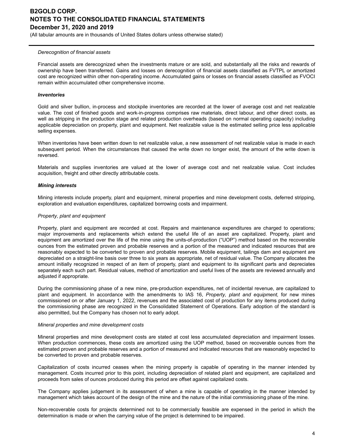(All tabular amounts are in thousands of United States dollars unless otherwise stated)

#### *Derecognition of financial assets*

Financial assets are derecognized when the investments mature or are sold, and substantially all the risks and rewards of ownership have been transferred. Gains and losses on derecognition of financial assets classified as FVTPL or amortized cost are recognized within other non-operating income. Accumulated gains or losses on financial assets classified as FVOCI remain within accumulated other comprehensive income.

#### *Inventories*

Gold and silver bullion, in-process and stockpile inventories are recorded at the lower of average cost and net realizable value. The cost of finished goods and work-in-progress comprises raw materials, direct labour, and other direct costs, as well as stripping in the production stage and related production overheads (based on normal operating capacity) including applicable depreciation on property, plant and equipment. Net realizable value is the estimated selling price less applicable selling expenses.

When inventories have been written down to net realizable value, a new assessment of net realizable value is made in each subsequent period. When the circumstances that caused the write down no longer exist, the amount of the write down is reversed.

Materials and supplies inventories are valued at the lower of average cost and net realizable value. Cost includes acquisition, freight and other directly attributable costs.

#### *Mining interests*

Mining interests include property, plant and equipment, mineral properties and mine development costs, deferred stripping, exploration and evaluation expenditures, capitalized borrowing costs and impairment.

#### *Property, plant and equipment*

Property, plant and equipment are recorded at cost. Repairs and maintenance expenditures are charged to operations; major improvements and replacements which extend the useful life of an asset are capitalized. Property, plant and equipment are amortized over the life of the mine using the units-of-production ("UOP") method based on the recoverable ounces from the estimated proven and probable reserves and a portion of the measured and indicated resources that are reasonably expected to be converted to proven and probable reserves. Mobile equipment, tailings dam and equipment are depreciated on a straight-line basis over three to six years as appropriate, net of residual value. The Company allocates the amount initially recognized in respect of an item of property, plant and equipment to its significant parts and depreciates separately each such part. Residual values, method of amortization and useful lives of the assets are reviewed annually and adjusted if appropriate.

During the commissioning phase of a new mine, pre-production expenditures, net of incidental revenue, are capitalized to plant and equipment. In accordance with the amendments to IAS 16, *Property, plant and equipment,* for new mines commissioned on or after January 1, 2022, revenues and the associated cost of production for any items produced during the commissioning phase are recognized in the Consolidated Statement of Operations. Early adoption of the standard is also permitted, but the Company has chosen not to early adopt.

#### *Mineral properties and mine development costs*

Mineral properties and mine development costs are stated at cost less accumulated depreciation and impairment losses. When production commences, these costs are amortized using the UOP method, based on recoverable ounces from the estimated proven and probable reserves and a portion of measured and indicated resources that are reasonably expected to be converted to proven and probable reserves.

Capitalization of costs incurred ceases when the mining property is capable of operating in the manner intended by management. Costs incurred prior to this point, including depreciation of related plant and equipment, are capitalized and proceeds from sales of ounces produced during this period are offset against capitalized costs.

The Company applies judgement in its assessment of when a mine is capable of operating in the manner intended by management which takes account of the design of the mine and the nature of the initial commissioning phase of the mine.

Non-recoverable costs for projects determined not to be commercially feasible are expensed in the period in which the determination is made or when the carrying value of the project is determined to be impaired.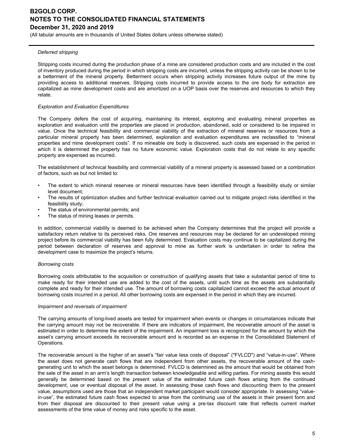(All tabular amounts are in thousands of United States dollars unless otherwise stated)

#### *Deferred stripping*

Stripping costs incurred during the production phase of a mine are considered production costs and are included in the cost of inventory produced during the period in which stripping costs are incurred, unless the stripping activity can be shown to be a betterment of the mineral property. Betterment occurs when stripping activity increases future output of the mine by providing access to additional reserves. Stripping costs incurred to provide access to the ore body for extraction are capitalized as mine development costs and are amortized on a UOP basis over the reserves and resources to which they relate.

#### *Exploration and Evaluation Expenditures*

The Company defers the cost of acquiring, maintaining its interest, exploring and evaluating mineral properties as exploration and evaluation until the properties are placed in production, abandoned, sold or considered to be impaired in value. Once the technical feasibility and commercial viability of the extraction of mineral reserves or resources from a particular mineral property has been determined, exploration and evaluation expenditures are reclassified to "mineral properties and mine development costs". If no mineable ore body is discovered, such costs are expensed in the period in which it is determined the property has no future economic value. Exploration costs that do not relate to any specific property are expensed as incurred.

The establishment of technical feasibility and commercial viability of a mineral property is assessed based on a combination of factors, such as but not limited to:

- The extent to which mineral reserves or mineral resources have been identified through a feasibility study or similar level document;
- The results of optimization studies and further technical evaluation carried out to mitigate project risks identified in the feasibility study;
- The status of environmental permits; and
- The status of mining leases or permits.

In addition, commercial viability is deemed to be achieved when the Company determines that the project will provide a satisfactory return relative to its perceived risks. Ore reserves and resources may be declared for an undeveloped mining project before its commercial viability has been fully determined. Evaluation costs may continue to be capitalized during the period between declaration of reserves and approval to mine as further work is undertaken in order to refine the development case to maximize the project's returns.

#### *Borrowing costs*

Borrowing costs attributable to the acquisition or construction of qualifying assets that take a substantial period of time to make ready for their intended use are added to the cost of the assets, until such time as the assets are substantially complete and ready for their intended use. The amount of borrowing costs capitalized cannot exceed the actual amount of borrowing costs incurred in a period. All other borrowing costs are expensed in the period in which they are incurred.

#### *Impairment and reversals of impairment*

The carrying amounts of long-lived assets are tested for impairment when events or changes in circumstances indicate that the carrying amount may not be recoverable. If there are indicators of impairment, the recoverable amount of the asset is estimated in order to determine the extent of the impairment. An impairment loss is recognized for the amount by which the asset's carrying amount exceeds its recoverable amount and is recorded as an expense in the Consolidated Statement of Operations.

The recoverable amount is the higher of an asset's "fair value less costs of disposal" ("FVLCD") and "value-in-use". Where the asset does not generate cash flows that are independent from other assets, the recoverable amount of the cashgenerating unit to which the asset belongs is determined. FVLCD is determined as the amount that would be obtained from the sale of the asset in an arm's length transaction between knowledgeable and willing parties. For mining assets this would generally be determined based on the present value of the estimated future cash flows arising from the continued development, use or eventual disposal of the asset. In assessing these cash flows and discounting them to the present value, assumptions used are those that an independent market participant would consider appropriate. In assessing "valuein-use", the estimated future cash flows expected to arise from the continuing use of the assets in their present form and from their disposal are discounted to their present value using a pre-tax discount rate that reflects current market assessments of the time value of money and risks specific to the asset.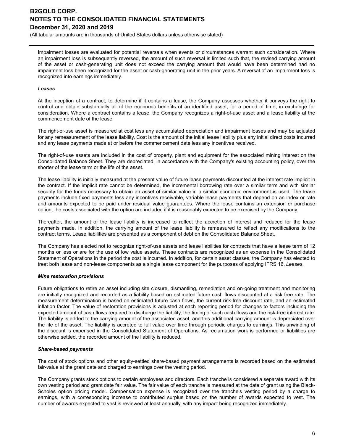(All tabular amounts are in thousands of United States dollars unless otherwise stated)

Impairment losses are evaluated for potential reversals when events or circumstances warrant such consideration. Where an impairment loss is subsequently reversed, the amount of such reversal is limited such that, the revised carrying amount of the asset or cash-generating unit does not exceed the carrying amount that would have been determined had no impairment loss been recognized for the asset or cash-generating unit in the prior years. A reversal of an impairment loss is recognized into earnings immediately.

#### *Leases*

At the inception of a contract, to determine if it contains a lease, the Company assesses whether it conveys the right to control and obtain substantially all of the economic benefits of an identified asset, for a period of time, in exchange for consideration. Where a contract contains a lease, the Company recognizes a right-of-use asset and a lease liability at the commencement date of the lease.

The right-of-use asset is measured at cost less any accumulated depreciation and impairment losses and may be adjusted for any remeasurement of the lease liability. Cost is the amount of the initial lease liability plus any initial direct costs incurred and any lease payments made at or before the commencement date less any incentives received.

The right-of-use assets are included in the cost of property, plant and equipment for the associated mining interest on the Consolidated Balance Sheet. They are depreciated, in accordance with the Company's existing accounting policy, over the shorter of the lease term or the life of the asset.

The lease liability is initially measured at the present value of future lease payments discounted at the interest rate implicit in the contract. If the implicit rate cannot be determined, the incremental borrowing rate over a similar term and with similar security for the funds necessary to obtain an asset of similar value in a similar economic environment is used. The lease payments include fixed payments less any incentives receivable, variable lease payments that depend on an index or rate and amounts expected to be paid under residual value guarantees. Where the lease contains an extension or purchase option, the costs associated with the option are included if it is reasonably expected to be exercised by the Company.

Thereafter, the amount of the lease liability is increased to reflect the accretion of interest and reduced for the lease payments made. In addition, the carrying amount of the lease liability is remeasured to reflect any modifications to the contract terms. Lease liabilities are presented as a component of debt on the Consolidated Balance Sheet.

The Company has elected not to recognize right-of-use assets and lease liabilities for contracts that have a lease term of 12 months or less or are for the use of low value assets. These contracts are recognized as an expense in the Consolidated Statement of Operations in the period the cost is incurred. In addition, for certain asset classes, the Company has elected to treat both lease and non-lease components as a single lease component for the purposes of applying IFRS 16, *Leases*.

#### *Mine restoration provisions*

Future obligations to retire an asset including site closure, dismantling, remediation and on-going treatment and monitoring are initially recognized and recorded as a liability based on estimated future cash flows discounted at a risk free rate. The measurement determination is based on estimated future cash flows, the current risk-free discount rate, and an estimated inflation factor. The value of restoration provisions is adjusted at each reporting period for changes to factors including the expected amount of cash flows required to discharge the liability, the timing of such cash flows and the risk-free interest rate. The liability is added to the carrying amount of the associated asset, and this additional carrying amount is depreciated over the life of the asset. The liability is accreted to full value over time through periodic charges to earnings. This unwinding of the discount is expensed in the Consolidated Statement of Operations. As reclamation work is performed or liabilities are otherwise settled, the recorded amount of the liability is reduced.

#### *Share-based payments*

The cost of stock options and other equity-settled share-based payment arrangements is recorded based on the estimated fair-value at the grant date and charged to earnings over the vesting period.

The Company grants stock options to certain employees and directors. Each tranche is considered a separate award with its own vesting period and grant date fair value. The fair value of each tranche is measured at the date of grant using the Black-Scholes option pricing model. Compensation expense is recognized over the tranche's vesting period by a charge to earnings, with a corresponding increase to contributed surplus based on the number of awards expected to vest. The number of awards expected to vest is reviewed at least annually, with any impact being recognized immediately.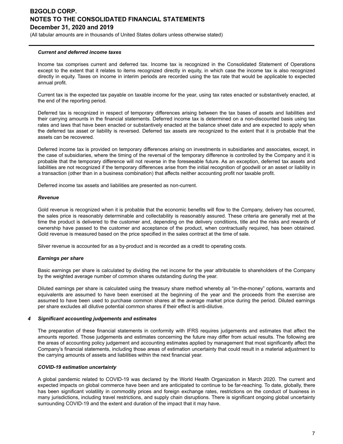(All tabular amounts are in thousands of United States dollars unless otherwise stated)

#### *Current and deferred income taxes*

Income tax comprises current and deferred tax. Income tax is recognized in the Consolidated Statement of Operations except to the extent that it relates to items recognized directly in equity, in which case the income tax is also recognized directly in equity. Taxes on income in interim periods are recorded using the tax rate that would be applicable to expected annual profit.

Current tax is the expected tax payable on taxable income for the year, using tax rates enacted or substantively enacted, at the end of the reporting period.

Deferred tax is recognized in respect of temporary differences arising between the tax bases of assets and liabilities and their carrying amounts in the financial statements. Deferred income tax is determined on a non-discounted basis using tax rates and laws that have been enacted or substantively enacted at the balance sheet date and are expected to apply when the deferred tax asset or liability is reversed. Deferred tax assets are recognized to the extent that it is probable that the assets can be recovered.

Deferred income tax is provided on temporary differences arising on investments in subsidiaries and associates, except, in the case of subsidiaries, where the timing of the reversal of the temporary difference is controlled by the Company and it is probable that the temporary difference will not reverse in the foreseeable future. As an exception, deferred tax assets and liabilities are not recognized if the temporary differences arise from the initial recognition of goodwill or an asset or liability in a transaction (other than in a business combination) that affects neither accounting profit nor taxable profit.

Deferred income tax assets and liabilities are presented as non-current.

#### *Revenue*

Gold revenue is recognized when it is probable that the economic benefits will flow to the Company, delivery has occurred, the sales price is reasonably determinable and collectability is reasonably assured. These criteria are generally met at the time the product is delivered to the customer and, depending on the delivery conditions, title and the risks and rewards of ownership have passed to the customer and acceptance of the product, when contractually required, has been obtained. Gold revenue is measured based on the price specified in the sales contract at the time of sale.

Silver revenue is accounted for as a by-product and is recorded as a credit to operating costs.

#### *Earnings per share*

Basic earnings per share is calculated by dividing the net income for the year attributable to shareholders of the Company by the weighted average number of common shares outstanding during the year.

Diluted earnings per share is calculated using the treasury share method whereby all "in-the-money" options, warrants and equivalents are assumed to have been exercised at the beginning of the year and the proceeds from the exercise are assumed to have been used to purchase common shares at the average market price during the period. Diluted earnings per share excludes all dilutive potential common shares if their effect is anti-dilutive.

#### *4 Significant accounting judgements and estimates*

The preparation of these financial statements in conformity with IFRS requires judgements and estimates that affect the amounts reported. Those judgements and estimates concerning the future may differ from actual results. The following are the areas of accounting policy judgement and accounting estimates applied by management that most significantly affect the Company's financial statements, including those areas of estimation uncertainty that could result in a material adjustment to the carrying amounts of assets and liabilities within the next financial year.

#### *COVID-19 estimation uncertainty*

A global pandemic related to COVID-19 was declared by the World Health Organization in March 2020. The current and expected impacts on global commerce have been and are anticipated to continue to be far-reaching. To date, globally, there has been significant volatility in commodity prices and foreign exchange rates, restrictions on the conduct of business in many jurisdictions, including travel restrictions, and supply chain disruptions. There is significant ongoing global uncertainty surrounding COVID-19 and the extent and duration of the impact that it may have.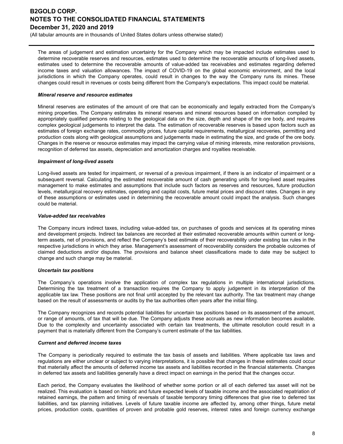(All tabular amounts are in thousands of United States dollars unless otherwise stated)

The areas of judgement and estimation uncertainty for the Company which may be impacted include estimates used to determine recoverable reserves and resources, estimates used to determine the recoverable amounts of long-lived assets, estimates used to determine the recoverable amounts of value-added tax receivables and estimates regarding deferred income taxes and valuation allowances. The impact of COVID-19 on the global economic environment, and the local jurisdictions in which the Company operates, could result in changes to the way the Company runs its mines. These changes could result in revenues or costs being different from the Company's expectations. This impact could be material.

#### *Mineral reserve and resource estimates*

Mineral reserves are estimates of the amount of ore that can be economically and legally extracted from the Company's mining properties. The Company estimates its mineral reserves and mineral resources based on information compiled by appropriately qualified persons relating to the geological data on the size, depth and shape of the ore body, and requires complex geological judgements to interpret the data. The estimation of recoverable reserves is based upon factors such as estimates of foreign exchange rates, commodity prices, future capital requirements, metallurgical recoveries, permitting and production costs along with geological assumptions and judgements made in estimating the size, and grade of the ore body. Changes in the reserve or resource estimates may impact the carrying value of mining interests, mine restoration provisions, recognition of deferred tax assets, depreciation and amortization charges and royalties receivable.

#### *Impairment of long-lived assets*

Long-lived assets are tested for impairment, or reversal of a previous impairment, if there is an indicator of impairment or a subsequent reversal. Calculating the estimated recoverable amount of cash generating units for long-lived asset requires management to make estimates and assumptions that include such factors as reserves and resources, future production levels, metallurgical recovery estimates, operating and capital costs, future metal prices and discount rates. Changes in any of these assumptions or estimates used in determining the recoverable amount could impact the analysis. Such changes could be material.

#### *Value-added tax receivables*

The Company incurs indirect taxes, including value-added tax, on purchases of goods and services at its operating mines and development projects. Indirect tax balances are recorded at their estimated recoverable amounts within current or longterm assets, net of provisions, and reflect the Company's best estimate of their recoverability under existing tax rules in the respective jurisdictions in which they arise. Management's assessment of recoverability considers the probable outcomes of claimed deductions and/or disputes. The provisions and balance sheet classifications made to date may be subject to change and such change may be material.

#### *Uncertain tax positions*

The Company's operations involve the application of complex tax regulations in multiple international jurisdictions. Determining the tax treatment of a transaction requires the Company to apply judgement in its interpretation of the applicable tax law. These positions are not final until accepted by the relevant tax authority. The tax treatment may change based on the result of assessments or audits by the tax authorities often years after the initial filing.

The Company recognizes and records potential liabilities for uncertain tax positions based on its assessment of the amount, or range of amounts, of tax that will be due. The Company adjusts these accruals as new information becomes available. Due to the complexity and uncertainty associated with certain tax treatments, the ultimate resolution could result in a payment that is materially different from the Company's current estimate of the tax liabilities.

#### *Current and deferred income taxes*

The Company is periodically required to estimate the tax basis of assets and liabilities. Where applicable tax laws and regulations are either unclear or subject to varying interpretations, it is possible that changes in these estimates could occur that materially affect the amounts of deferred income tax assets and liabilities recorded in the financial statements. Changes in deferred tax assets and liabilities generally have a direct impact on earnings in the period that the changes occur.

Each period, the Company evaluates the likelihood of whether some portion or all of each deferred tax asset will not be realized. This evaluation is based on historic and future expected levels of taxable income and the associated repatriation of retained earnings, the pattern and timing of reversals of taxable temporary timing differences that give rise to deferred tax liabilities, and tax planning initiatives. Levels of future taxable income are affected by, among other things, future metal prices, production costs, quantities of proven and probable gold reserves, interest rates and foreign currency exchange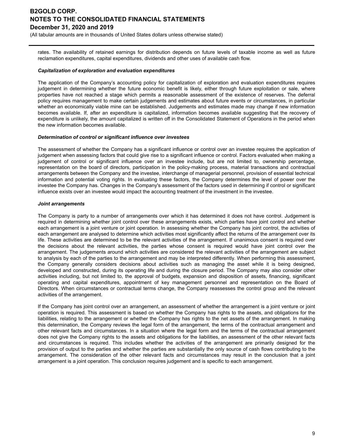(All tabular amounts are in thousands of United States dollars unless otherwise stated)

rates. The availability of retained earnings for distribution depends on future levels of taxable income as well as future reclamation expenditures, capital expenditures, dividends and other uses of available cash flow.

#### *Capitalization of exploration and evaluation expenditures*

The application of the Company's accounting policy for capitalization of exploration and evaluation expenditures requires judgement in determining whether the future economic benefit is likely, either through future exploitation or sale, where properties have not reached a stage which permits a reasonable assessment of the existence of reserves. The deferral policy requires management to make certain judgements and estimates about future events or circumstances, in particular whether an economically viable mine can be established. Judgements and estimates made may change if new information becomes available. If, after an expenditure is capitalized, information becomes available suggesting that the recovery of expenditure is unlikely, the amount capitalized is written off in the Consolidated Statement of Operations in the period when the new information becomes available.

#### *Determination of control or significant influence over investees*

The assessment of whether the Company has a significant influence or control over an investee requires the application of judgement when assessing factors that could give rise to a significant influence or control. Factors evaluated when making a judgement of control or significant influence over an investee include, but are not limited to, ownership percentage, representation on the board of directors, participation in the policy-making process, material transactions and contractual arrangements between the Company and the investee, interchange of managerial personnel, provision of essential technical information and potential voting rights. In evaluating these factors, the Company determines the level of power over the investee the Company has. Changes in the Company's assessment of the factors used in determining if control or significant influence exists over an investee would impact the accounting treatment of the investment in the investee.

#### *Joint arrangements*

The Company is party to a number of arrangements over which it has determined it does not have control. Judgement is required in determining whether joint control over these arrangements exists, which parties have joint control and whether each arrangement is a joint venture or joint operation. In assessing whether the Company has joint control, the activities of each arrangement are analysed to determine which activities most significantly affect the returns of the arrangement over its life. These activities are determined to be the relevant activities of the arrangement. If unanimous consent is required over the decisions about the relevant activities, the parties whose consent is required would have joint control over the arrangement. The judgements around which activities are considered the relevant activities of the arrangement are subject to analysis by each of the parties to the arrangement and may be interpreted differently. When performing this assessment, the Company generally considers decisions about activities such as managing the asset while it is being designed, developed and constructed, during its operating life and during the closure period. The Company may also consider other activities including, but not limited to, the approval of budgets, expansion and disposition of assets, financing, significant operating and capital expenditures, appointment of key management personnel and representation on the Board of Directors. When circumstances or contractual terms change, the Company reassesses the control group and the relevant activities of the arrangement.

If the Company has joint control over an arrangement, an assessment of whether the arrangement is a joint venture or joint operation is required. This assessment is based on whether the Company has rights to the assets, and obligations for the liabilities, relating to the arrangement or whether the Company has rights to the net assets of the arrangement. In making this determination, the Company reviews the legal form of the arrangement, the terms of the contractual arrangement and other relevant facts and circumstances. In a situation where the legal form and the terms of the contractual arrangement does not give the Company rights to the assets and obligations for the liabilities, an assessment of the other relevant facts and circumstances is required. This includes whether the activities of the arrangement are primarily designed for the provision of output to the parties and whether the parties are substantially the only source of cash flows contributing to the arrangement. The consideration of the other relevant facts and circumstances may result in the conclusion that a joint arrangement is a joint operation. This conclusion requires judgement and is specific to each arrangement.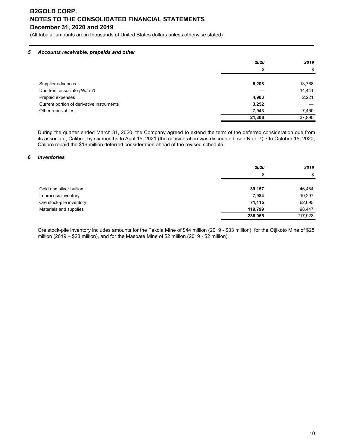(All tabular amounts are in thousands of United States dollars unless otherwise stated)

#### *5 Accounts receivable, prepaids and other*

|                                           | 2020   | 2019   |  |
|-------------------------------------------|--------|--------|--|
|                                           | \$     | \$     |  |
|                                           |        |        |  |
| Supplier advances                         | 5,208  | 13,768 |  |
| Due from associate (Note 7)               |        | 14,441 |  |
| Prepaid expenses                          | 4,903  | 2,221  |  |
| Current portion of derivative instruments | 3,252  |        |  |
| Other receivables                         | 7,943  | 7,460  |  |
|                                           | 21,306 | 37,890 |  |

During the quarter ended March 31, 2020, the Company agreed to extend the term of the deferred consideration due from its associate, Calibre, by six months to April 15, 2021 (the consideration was discounted, see Note 7). On October 15, 2020, Calibre repaid the \$16 million deferred consideration ahead of the revised schedule.

#### *6 Inventories*

|                          | 2020<br>\$ | 2019<br>\$ |
|--------------------------|------------|------------|
| Gold and silver bullion  | 39,157     | 46,484     |
| In-process inventory     | 7,984      | 10,297     |
| Ore stock-pile inventory | 71,115     | 62,695     |
| Materials and supplies   | 119,799    | 98,447     |
|                          | 238,055    | 217,923    |

Ore stock-pile inventory includes amounts for the Fekola Mine of \$44 million (2019 - \$33 million), for the Otjikoto Mine of \$25 million (2019 – \$28 million), and for the Masbate Mine of \$2 million (2019 - \$2 million).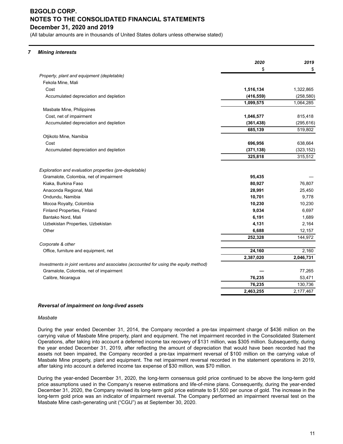(All tabular amounts are in thousands of United States dollars unless otherwise stated)

#### *7 Mining interests*

|                                                                                      | 2020       | 2019       |
|--------------------------------------------------------------------------------------|------------|------------|
|                                                                                      | \$         | \$         |
| Property, plant and equipment (depletable)                                           |            |            |
| Fekola Mine, Mali                                                                    |            |            |
| Cost                                                                                 | 1,516,134  | 1,322,865  |
| Accumulated depreciation and depletion                                               | (416, 559) | (258, 580) |
|                                                                                      | 1,099,575  | 1,064,285  |
| Masbate Mine, Philippines                                                            |            |            |
| Cost, net of impairment                                                              | 1,046,577  | 815,418    |
| Accumulated depreciation and depletion                                               | (361, 438) | (295, 616) |
|                                                                                      | 685,139    | 519,802    |
| Otjikoto Mine, Namibia                                                               |            |            |
| Cost                                                                                 | 696,956    | 638,664    |
| Accumulated depreciation and depletion                                               | (371, 138) | (323, 152) |
|                                                                                      | 325,818    | 315,512    |
| Exploration and evaluation properties (pre-depletable)                               |            |            |
| Gramalote, Colombia, net of impairment                                               | 95,435     |            |
| Kiaka, Burkina Faso                                                                  | 80,927     | 76,807     |
| Anaconda Regional, Mali                                                              | 28,991     | 25,450     |
| Ondundu, Namibia                                                                     | 10,701     | 9,778      |
| Mocoa Royalty, Colombia                                                              | 10,230     | 10,230     |
| Finland Properties, Finland                                                          | 9,034      | 6,697      |
| Bantako Nord, Mali                                                                   | 6,191      | 1,689      |
| Uzbekistan Properties, Uzbekistan                                                    | 4,131      | 2,164      |
| Other                                                                                | 6,688      | 12,157     |
|                                                                                      | 252,328    | 144,972    |
| Corporate & other                                                                    |            |            |
| Office, furniture and equipment, net                                                 | 24,160     | 2,160      |
|                                                                                      | 2,387,020  | 2,046,731  |
| Investments in joint ventures and associates (accounted for using the equity method) |            |            |
| Gramalote, Colombia, net of impairment                                               |            | 77,265     |
| Calibre, Nicaragua                                                                   | 76,235     | 53,471     |
|                                                                                      | 76,235     | 130,736    |
|                                                                                      | 2,463,255  | 2,177,467  |

#### *Reversal of impairment on long-lived assets*

#### *Masbate*

During the year ended December 31, 2014, the Company recorded a pre-tax impairment charge of \$436 million on the carrying value of Masbate Mine property, plant and equipment. The net impairment recorded in the Consolidated Statement Operations, after taking into account a deferred income tax recovery of \$131 million, was \$305 million. Subsequently, during the year ended December 31, 2019, after reflecting the amount of depreciation that would have been recorded had the assets not been impaired, the Company recorded a pre-tax impairment reversal of \$100 million on the carrying value of Masbate Mine property, plant and equipment. The net impairment reversal recorded in the statement operations in 2019, after taking into account a deferred income tax expense of \$30 million, was \$70 million.

During the year-ended December 31, 2020, the long-term consensus gold price continued to be above the long-term gold price assumptions used in the Company's reserve estimations and life-of-mine plans. Consequently, during the year-ended December 31, 2020, the Company revised its long-term gold price estimate to \$1,500 per ounce of gold. The increase in the long-term gold price was an indicator of impairment reversal. The Company performed an impairment reversal test on the Masbate Mine cash-generating unit ("CGU") as at September 30, 2020.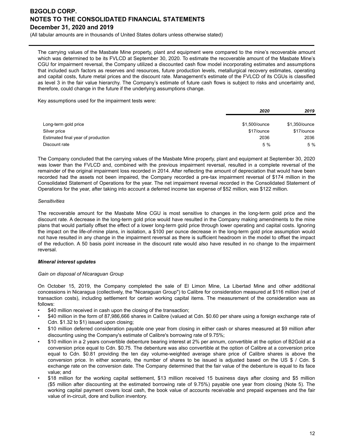(All tabular amounts are in thousands of United States dollars unless otherwise stated)

The carrying values of the Masbate Mine property, plant and equipment were compared to the mine's recoverable amount which was determined to be its FVLCD at September 30, 2020. To estimate the recoverable amount of the Masbate Mine's CGU for impairment reversal, the Company utilized a discounted cash flow model incorporating estimates and assumptions that included such factors as reserves and resources, future production levels, metallurgical recovery estimates, operating and capital costs, future metal prices and the discount rate. Management's estimate of the FVLCD of its CGUs is classified as level 3 in the fair value hierarchy. The Company's estimate of future cash flows is subject to risks and uncertainty and, therefore, could change in the future if the underlying assumptions change.

Key assumptions used for the impairment tests were:

|                                    | 2020          | 2019          |
|------------------------------------|---------------|---------------|
| Long-term gold price               | \$1,500/ounce | \$1,350/ounce |
| Silver price                       | \$17/ounce    | \$17/ounce    |
|                                    |               |               |
| Estimated final year of production | 2036          | 2036          |
| Discount rate                      | 5%            | 5%            |

The Company concluded that the carrying values of the Masbate Mine property, plant and equipment at September 30, 2020 was lower than the FVLCD and, combined with the previous impairment reversal, resulted in a complete reversal of the remainder of the original impairment loss recorded in 2014. After reflecting the amount of depreciation that would have been recorded had the assets not been impaired, the Company recorded a pre-tax impairment reversal of \$174 million in the Consolidated Statement of Operations for the year. The net impairment reversal recorded in the Consolidated Statement of Operations for the year, after taking into account a deferred income tax expense of \$52 million, was \$122 million.

#### *Sensitivities*

The recoverable amount for the Masbate Mine CGU is most sensitive to changes in the long-term gold price and the discount rate. A decrease in the long-term gold price would have resulted in the Company making amendments to the mine plans that would partially offset the effect of a lower long-term gold price through lower operating and capital costs. Ignoring the impact on the life-of-mine plans, in isolation, a \$100 per ounce decrease in the long-term gold price assumption would not have resulted in any change in the impairment reversal as there is sufficient headroom in the model to offset the impact of the reduction. A 50 basis point increase in the discount rate would also have resulted in no change to the impairment reversal.

#### *Mineral interest updates*

#### *Gain on disposal of Nicaraguan Group*

On October 15, 2019, the Company completed the sale of El Limon Mine, La Libertad Mine and other additional concessions in Nicaragua (collectively, the "Nicaraguan Group") to Calibre for consideration measured at \$116 million (net of transaction costs), including settlement for certain working capital items. The measurement of the consideration was as follows:

- \$40 million received in cash upon the closing of the transaction;
- \$40 million in the form of 87,986,666 shares in Calibre (valued at Cdn. \$0.60 per share using a foreign exchange rate of Cdn. \$1.32 to \$1) issued upon closing;
- \$10 million deferred consideration payable one year from closing in either cash or shares measured at \$9 million after discounting using the Company's estimate of Calibre's borrowing rate of 9.75%;
- \$10 million in a 2 years convertible debenture bearing interest at 2% per annum, convertible at the option of B2Gold at a conversion price equal to Cdn. \$0.75. The debenture was also convertible at the option of Calibre at a conversion price equal to Cdn. \$0.81 providing the ten day volume-weighted average share price of Calibre shares is above the conversion price. In either scenario, the number of shares to be issued is adjusted based on the US \$ / Cdn. \$ exchange rate on the conversion date. The Company determined that the fair value of the debenture is equal to its face value; and
- \$18 million for the working capital settlement, \$13 million received 15 business days after closing and \$5 million (\$5 million after discounting at the estimated borrowing rate of 9.75%) payable one year from closing (Note 5). The working capital payment covers local cash, the book value of accounts receivable and prepaid expenses and the fair value of in-circuit, dore and bullion inventory.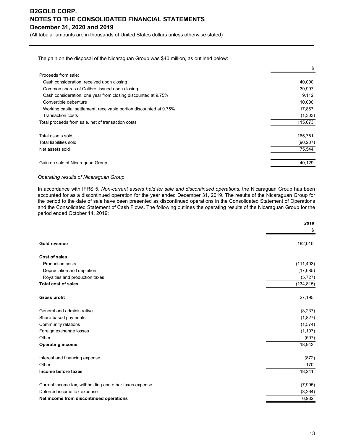(All tabular amounts are in thousands of United States dollars unless otherwise stated)

The gain on the disposal of the Nicaraguan Group was \$40 million, as outlined below:

| Proceeds from sale:                                                |           |
|--------------------------------------------------------------------|-----------|
| Cash consideration, received upon closing                          | 40,000    |
| Common shares of Calibre, issued upon closing                      | 39,997    |
| Cash consideration, one year from closing discounted at 9.75%      | 9,112     |
| Convertible debenture                                              | 10,000    |
| Working capital settlement, receivable portion discounted at 9.75% | 17,867    |
| <b>Transaction costs</b>                                           | (1,303)   |
| Total proceeds from sale, net of transaction costs                 | 115,673   |
| Total assets sold                                                  | 165,751   |
| Total liabilities sold                                             | (90, 207) |
| Net assets sold                                                    | 75,544    |
| Gain on sale of Nicaraguan Group                                   | 40,129    |

#### *Operating results of Nicaraguan Group*

In accordance with IFRS 5, *Non-current assets held for sale and discontinued operations*, the Nicaraguan Group has been accounted for as a discontinued operation for the year ended December 31, 2019. The results of the Nicaraguan Group for the period to the date of sale have been presented as discontinued operations in the Consolidated Statement of Operations and the Consolidated Statement of Cash Flows. The following outlines the operating results of the Nicaraguan Group for the period ended October 14, 2019:

|                                                         | 2019       |
|---------------------------------------------------------|------------|
|                                                         | \$         |
| <b>Gold revenue</b>                                     | 162,010    |
| <b>Cost of sales</b>                                    |            |
| <b>Production costs</b>                                 | (111, 403) |
| Depreciation and depletion                              | (17, 685)  |
| Royalties and production taxes                          | (5, 727)   |
| <b>Total cost of sales</b>                              | (134, 815) |
| <b>Gross profit</b>                                     | 27,195     |
| General and administrative                              | (3,237)    |
| Share-based payments                                    | (1,827)    |
| Community relations                                     | (1, 574)   |
| Foreign exchange losses                                 | (1, 107)   |
| Other                                                   | (507)      |
| <b>Operating income</b>                                 | 18,943     |
| Interest and financing expense                          | (872)      |
| Other                                                   | 170        |
| Income before taxes                                     | 18,241     |
| Current income tax, withholding and other taxes expense | (7, 995)   |
| Deferred income tax expense                             | (3, 264)   |
| Net income from discontinued operations                 | 6,982      |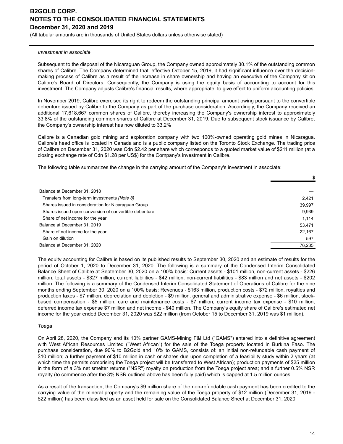(All tabular amounts are in thousands of United States dollars unless otherwise stated)

#### *Investment in associate*

Subsequent to the disposal of the Nicaraguan Group, the Company owned approximately 30.1% of the outstanding common shares of Calibre. The Company determined that, effective October 15, 2019, it had significant influence over the decisionmaking process of Calibre as a result of the increase in share ownership and having an executive of the Company sit on Calibre's Board of Directors. Consequently, the Company is using the equity basis of accounting to account for this investment. The Company adjusts Calibre's financial results, where appropriate, to give effect to uniform accounting policies.

In November 2019, Calibre exercised its right to redeem the outstanding principal amount owing pursuant to the convertible debenture issued by Calibre to the Company as part of the purchase consideration. Accordingly, the Company received an additional 17,618,667 common shares of Calibre, thereby increasing the Company's ownership interest to approximately 33.8% of the outstanding common shares of Calibre at December 31, 2019. Due to subsequent stock issuance by Calibre, the Company's ownership interest has now diluted to 33.2%

Calibre is a Canadian gold mining and exploration company with two 100%-owned operating gold mines in Nicaragua. Calibre's head office is located in Canada and is a public company listed on the Toronto Stock Exchange. The trading price of Calibre on December 31, 2020 was Cdn \$2.42 per share which corresponds to a quoted market value of \$211 million (at a closing exchange rate of Cdn \$1.28 per US\$) for the Company's investment in Calibre.

The following table summarizes the change in the carrying amount of the Company's investment in associate:

| Balance at December 31, 2018                           |        |
|--------------------------------------------------------|--------|
| Transfers from long-term investments (Note 8)          | 2,421  |
| Shares issued in consideration for Nicaraguan Group    | 39,997 |
| Shares issued upon conversion of convertible debenture | 9,939  |
| Share of net income for the year                       | 1,114  |
| Balance at December 31, 2019                           | 53,471 |
| Share of net income for the year                       | 22,167 |
| Gain on dilution                                       | 597    |
| Balance at December 31, 2020                           | 76,235 |

The equity accounting for Calibre is based on its published results to September 30, 2020 and an estimate of results for the period of October 1, 2020 to December 31, 2020. The following is a summary of the Condensed Interim Consolidated Balance Sheet of Calibre at September 30, 2020 on a 100% basis: Current assets - \$101 million, non-current assets - \$226 million, total assets - \$327 million, current liabilities - \$42 million, non-current liabilities - \$83 million and net assets - \$202 million. The following is a summary of the Condensed Interim Consolidated Statement of Operations of Calibre for the nine months ending September 30, 2020 on a 100% basis: Revenues - \$163 million, production costs - \$72 million, royalties and production taxes - \$7 million, depreciation and depletion - \$9 million, general and administrative expense - \$6 million, stockbased compensation - \$5 million, care and maintenance costs - \$7 million, current income tax expense - \$10 million, deferred income tax expense \$7 million and net income - \$40 million. The Company's equity share of Calibre's estimated net income for the year ended December 31, 2020 was \$22 million (from October 15 to December 31, 2019 was \$1 million).

#### *Toega*

On April 28, 2020, the Company and its 10% partner GAMS-Mining F&I Ltd ("GAMS") entered into a definitive agreement with West African Resources Limited ("West African") for the sale of the Toega property located in Burkina Faso. The purchase consideration, due 90% to B2Gold and 10% to GAMS, consists of: an initial non-refundable cash payment of \$10 million; a further payment of \$10 million in cash or shares due upon completion of a feasibility study within 2 years (at which time the permits comprising the Toega project will be transferred to West African); production payments of \$25 million in the form of a 3% net smelter returns ("NSR") royalty on production from the Toega project area; and a further 0.5% NSR royalty (to commence after the 3% NSR outlined above has been fully paid) which is capped at 1.5 million ounces.

As a result of the transaction, the Company's \$9 million share of the non-refundable cash payment has been credited to the carrying value of the mineral property and the remaining value of the Toega property of \$12 million (December 31, 2019 - \$22 million) has been classified as an asset held for sale on the Consolidated Balance Sheet at December 31, 2020.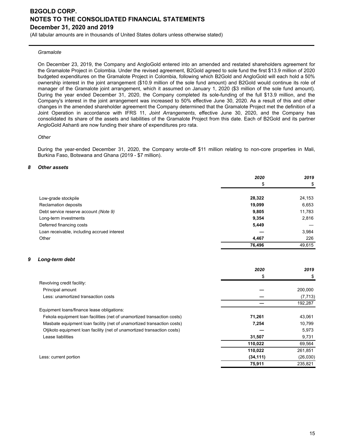(All tabular amounts are in thousands of United States dollars unless otherwise stated)

#### *Gramalote*

On December 23, 2019, the Company and AngloGold entered into an amended and restated shareholders agreement for the Gramalote Project in Colombia. Under the revised agreement, B2Gold agreed to sole fund the first \$13.9 million of 2020 budgeted expenditures on the Gramalote Project in Colombia, following which B2Gold and AngloGold will each hold a 50% ownership interest in the joint arrangement (\$10.9 million of the sole fund amount) and B2Gold would continue its role of manager of the Gramalote joint arrangement, which it assumed on January 1, 2020 (\$3 million of the sole fund amount). During the year ended December 31, 2020, the Company completed its sole-funding of the full \$13.9 million, and the Company's interest in the joint arrangement was increased to 50% effective June 30, 2020. As a result of this and other changes in the amended shareholder agreement the Company determined that the Gramalote Project met the definition of a Joint Operation in accordance with IFRS 11, *Joint Arrangements*, effective June 30, 2020, and the Company has consolidated its share of the assets and liabilities of the Gramalote Project from this date. Each of B2Gold and its partner AngloGold Ashanti are now funding their share of expenditures pro rata.

#### *Other*

During the year-ended December 31, 2020, the Company wrote-off \$11 million relating to non-core properties in Mali, Burkina Faso, Botswana and Ghana (2019 - \$7 million).

#### *8 Other assets*

|                                             | 2020   | 2019   |
|---------------------------------------------|--------|--------|
|                                             | \$     | \$     |
|                                             |        |        |
| Low-grade stockpile                         | 28,322 | 24,153 |
| <b>Reclamation deposits</b>                 | 19,099 | 6,653  |
| Debt service reserve account (Note 9)       | 9,805  | 11,783 |
| Long-term investments                       | 9,354  | 2,816  |
| Deferred financing costs                    | 5,449  |        |
| Loan receivable, including accrued interest |        | 3,984  |
| Other                                       | 4,467  | 226    |
|                                             | 76,496 | 49,615 |

#### *9 Long-term debt*

|                                                                         | 2020      | 2019     |
|-------------------------------------------------------------------------|-----------|----------|
|                                                                         | \$        |          |
| Revolving credit facility:                                              |           |          |
| Principal amount                                                        |           | 200,000  |
| Less: unamortized transaction costs                                     |           | (7, 713) |
|                                                                         |           | 192,287  |
| Equipment loans/finance lease obligations:                              |           |          |
| Fekola equipment loan facilities (net of unamortized transaction costs) | 71,261    | 43,061   |
| Masbate equipment loan facility (net of unamortized transaction costs)  | 7,254     | 10,799   |
| Otijkoto equipment loan facility (net of unamortized transaction costs) |           | 5,973    |
| Lease liabilities                                                       | 31,507    | 9,731    |
|                                                                         | 110,022   | 69,564   |
|                                                                         | 110,022   | 261,851  |
| Less: current portion                                                   | (34, 111) | (26,030) |
|                                                                         | 75,911    | 235,821  |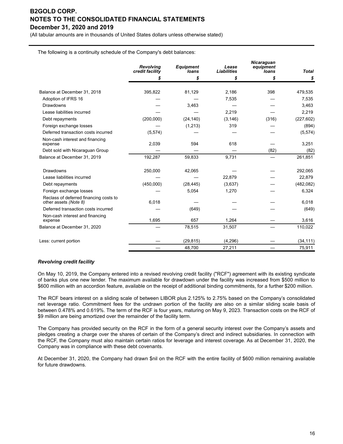(All tabular amounts are in thousands of United States dollars unless otherwise stated)

The following is a continuity schedule of the Company's debt balances:

|                                                                 | <b>Revolving</b><br>credit facility | <b>Equipment</b><br>loans | Lease<br><b>Liabilities</b> | <b>Nicaraguan</b><br>equipment<br>loans | <b>Total</b> |
|-----------------------------------------------------------------|-------------------------------------|---------------------------|-----------------------------|-----------------------------------------|--------------|
|                                                                 |                                     | \$                        | \$                          | \$                                      | \$           |
| Balance at December 31, 2018                                    | 395,822                             | 81,129                    | 2,186                       | 398                                     | 479,535      |
| Adoption of IFRS 16                                             |                                     |                           | 7,535                       |                                         | 7,535        |
| Drawdowns                                                       |                                     | 3,463                     |                             |                                         | 3,463        |
| Lease liabilities incurred                                      |                                     |                           | 2,219                       |                                         | 2,219        |
| Debt repayments                                                 | (200,000)                           | (24, 140)                 | (3, 146)                    | (316)                                   | (227, 602)   |
| Foreign exchange losses                                         |                                     | (1, 213)                  | 319                         |                                         | (894)        |
| Deferred transaction costs incurred                             | (5, 574)                            |                           |                             |                                         | (5, 574)     |
| Non-cash interest and financing<br>expense                      | 2,039                               | 594                       | 618                         |                                         | 3,251        |
| Debt sold with Nicaraguan Group                                 |                                     |                           |                             | (82)                                    | (82)         |
| Balance at December 31, 2019                                    | 192,287                             | 59,833                    | 9.731                       |                                         | 261,851      |
| Drawdowns                                                       | 250,000                             | 42,065                    |                             |                                         | 292,065      |
| Lease liabilities incurred                                      |                                     |                           | 22,879                      |                                         | 22,879       |
| Debt repayments                                                 | (450,000)                           | (28, 445)                 | (3,637)                     |                                         | (482, 082)   |
| Foreign exchange losses                                         |                                     | 5,054                     | 1,270                       |                                         | 6,324        |
| Reclass of deferred financing costs to<br>other assets (Note 8) | 6,018                               |                           |                             |                                         | 6,018        |
| Deferred transaction costs incurred                             |                                     | (649)                     |                             |                                         | (649)        |
| Non-cash interest and financing<br>expense                      | 1.695                               | 657                       | 1.264                       |                                         | 3,616        |
| Balance at December 31, 2020                                    |                                     | 78,515                    | 31,507                      |                                         | 110,022      |
| Less: current portion                                           |                                     | (29, 815)                 | (4, 296)                    |                                         | (34, 111)    |
|                                                                 |                                     | 48,700                    | 27,211                      |                                         | 75,911       |

#### *Revolving credit facility*

On May 10, 2019, the Company entered into a revised revolving credit facility ("RCF") agreement with its existing syndicate of banks plus one new lender. The maximum available for drawdown under the facility was increased from \$500 million to \$600 million with an accordion feature, available on the receipt of additional binding commitments, for a further \$200 million.

The RCF bears interest on a sliding scale of between LIBOR plus 2.125% to 2.75% based on the Company's consolidated net leverage ratio. Commitment fees for the undrawn portion of the facility are also on a similar sliding scale basis of between 0.478% and 0.619%. The term of the RCF is four years, maturing on May 9, 2023. Transaction costs on the RCF of \$9 million are being amortized over the remainder of the facility term.

The Company has provided security on the RCF in the form of a general security interest over the Company's assets and pledges creating a charge over the shares of certain of the Company's direct and indirect subsidiaries. In connection with the RCF, the Company must also maintain certain ratios for leverage and interest coverage. As at December 31, 2020, the Company was in compliance with these debt covenants.

At December 31, 2020, the Company had drawn \$nil on the RCF with the entire facility of \$600 million remaining available for future drawdowns.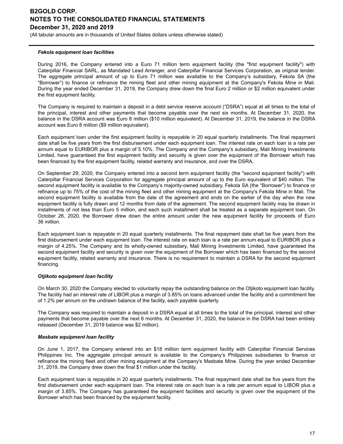(All tabular amounts are in thousands of United States dollars unless otherwise stated)

#### *Fekola equipment loan facilities*

During 2016, the Company entered into a Euro 71 million term equipment facility (the "first equipment facility") with Caterpillar Financial SARL, as Mandated Lead Arranger, and Caterpillar Financial Services Corporation, as original lender. The aggregate principal amount of up to Euro 71 million was available to the Company's subsidiary, Fekola SA (the "Borrower") to finance or refinance the mining fleet and other mining equipment at the Company's Fekola Mine in Mali. During the year ended December 31, 2019, the Company drew down the final Euro 2 million or \$2 million equivalent under the first equipment facility.

The Company is required to maintain a deposit in a debt service reserve account ("DSRA") equal at all times to the total of the principal, interest and other payments that become payable over the next six months. At December 31, 2020, the balance in the DSRA account was Euro 8 million (\$10 million equivalent). At December 31, 2019, the balance in the DSRA account was Euro 8 million (\$9 million equivalent).

Each equipment loan under the first equipment facility is repayable in 20 equal quarterly installments. The final repayment date shall be five years from the first disbursement under each equipment loan. The interest rate on each loan is a rate per annum equal to EURIBOR plus a margin of 5.10%. The Company and the Company's subsidiary, Mali Mining Investments Limited, have guaranteed the first equipment facility and security is given over the equipment of the Borrower which has been financed by the first equipment facility, related warranty and insurance, and over the DSRA.

On September 29, 2020, the Company entered into a second term equipment facility (the "second equipment facility") with Caterpillar Financial Services Corporation for aggregate principal amount of up to the Euro equivalent of \$40 million. The second equipment facility is available to the Company's majority-owned subsidiary, Fekola SA (the "Borrower") to finance or refinance up to 75% of the cost of the mining fleet and other mining equipment at the Company's Fekola Mine in Mali. The second equipment facility is available from the date of the agreement and ends on the earlier of the day when the new equipment facility is fully drawn and 12 months from date of the agreement. The second equipment facility may be drawn in installments of not less than Euro 5 million, and each such installment shall be treated as a separate equipment loan. On October 26, 2020, the Borrower drew down the entire amount under the new equipment facility for proceeds of Euro 36 million.

Each equipment loan is repayable in 20 equal quarterly installments. The final repayment date shall be five years from the first disbursement under each equipment loan. The interest rate on each loan is a rate per annum equal to EURIBOR plus a margin of 4.25%. The Company and its wholly-owned subsidiary, Mali Mining Investments Limited, have guaranteed the second equipment facility and security is given over the equipment of the Borrower which has been financed by the second equipment facility, related warranty and insurance. There is no requirement to maintain a DSRA for the second equipment financing.

#### *Otjikoto equipment loan facility*

On March 30, 2020 the Company elected to voluntarily repay the outstanding balance on the Otjikoto equipment loan facility. The facility had an interest rate of LIBOR plus a margin of 3.85% on loans advanced under the facility and a commitment fee of 1.2% per annum on the undrawn balance of the facility, each payable quarterly.

The Company was required to maintain a deposit in a DSRA equal at all times to the total of the principal, interest and other payments that become payable over the next 6 months. At December 31, 2020, the balance in the DSRA had been entirely released (December 31, 2019 balance was \$2 million).

#### *Masbate equipment loan facility*

On June 1, 2017, the Company entered into an \$18 million term equipment facility with Caterpillar Financial Services Philippines Inc. The aggregate principal amount is available to the Company's Philippines subsidiaries to finance or refinance the mining fleet and other mining equipment at the Company's Masbate Mine. During the year ended December 31, 2019, the Company drew down the final \$1 million under the facility.

Each equipment loan is repayable in 20 equal quarterly installments. The final repayment date shall be five years from the first disbursement under each equipment loan. The interest rate on each loan is a rate per annum equal to LIBOR plus a margin of 3.85%. The Company has guaranteed the equipment facilities and security is given over the equipment of the Borrower which has been financed by the equipment facility.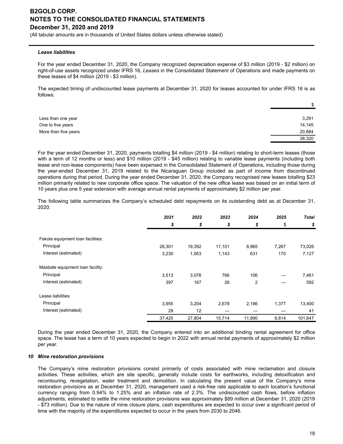(All tabular amounts are in thousands of United States dollars unless otherwise stated)

#### *Lease liabilities*

For the year ended December 31, 2020, the Company recognized depreciation expense of \$3 million (2019 - \$2 million) on right-of-use assets recognized under IFRS 16, *Leases* in the Consolidated Statement of Operations and made payments on these leases of \$4 million (2019 - \$3 million).

The expected timing of undiscounted lease payments at December 31, 2020 for leases accounted for under IFRS 16 is as follows:

|                      | \$     |
|----------------------|--------|
|                      |        |
| Less than one year   | 3,291  |
| One to five years    | 14,145 |
| More than five years | 20,884 |
|                      | 38,320 |

For the year ended December 31, 2020, payments totalling \$4 million (2019 - \$4 million) relating to short-term leases (those with a term of 12 months or less) and \$10 million (2019 - \$45 million) relating to variable lease payments (including both lease and non-lease components) have been expensed in the Consolidated Statement of Operations, including those during the year-ended December 31, 2019 related to the Nicaraguan Group included as part of income from discontinued operations during that period. During the year ended December 31, 2020, the Company recognised new leases totalling \$23 million primarily related to new corporate office space. The valuation of the new office lease was based on an initial term of 10 years plus one 5 year extension with average annual rental payments of approximately \$2 million per year.

The following table summarizes the Company's scheduled debt repayments on its outstanding debt as at December 31, 2020:

|                                   | 2021   | 2022   | 2023   | 2024   | 2025  | <b>Total</b> |
|-----------------------------------|--------|--------|--------|--------|-------|--------------|
|                                   | \$     | \$     | \$     | \$     | \$    | \$           |
| Fekola equipment loan facilities: |        |        |        |        |       |              |
|                                   |        |        |        |        |       |              |
| Principal                         | 26,301 | 19,392 | 11,101 | 8,965  | 7,267 | 73,026       |
| Interest (estimated)              | 3,230  | 1,953  | 1,143  | 631    | 170   | 7,127        |
| Masbate equipment loan facility:  |        |        |        |        |       |              |
| Principal                         | 3,513  | 3,076  | 766    | 106    |       | 7,461        |
| Interest (estimated)              | 397    | 167    | 26     | 2      |       | 592          |
| Lease liabilities                 |        |        |        |        |       |              |
| Principal                         | 3,955  | 3,204  | 2,678  | 2,186  | 1,377 | 13,400       |
| Interest (estimated)              | 29     | 12     |        |        |       | 41           |
|                                   | 37,425 | 27,804 | 15,714 | 11,890 | 8,814 | 101,647      |

During the year ended December 31, 2020, the Company entered into an additional binding rental agreement for office space. The lease has a term of 10 years expected to begin in 2022 with annual rental payments of approximately \$2 million per year.

#### *10 Mine restoration provisions*

The Company's mine restoration provisions consist primarily of costs associated with mine reclamation and closure activities. These activities, which are site specific, generally include costs for earthworks, including detoxification and recontouring, revegetation, water treatment and demolition. In calculating the present value of the Company's mine restoration provisions as at December 31, 2020, management used a risk-free rate applicable to each location's functional currency ranging from 0.94% to 1.25% and an inflation rate of 2.3%. The undiscounted cash flows, before inflation adjustments, estimated to settle the mine restoration provisions was approximately \$89 million at December 31, 2020 (2019 - \$73 million). Due to the nature of mine closure plans, cash expenditures are expected to occur over a significant period of time with the majority of the expenditures expected to occur in the years from 2030 to 2046.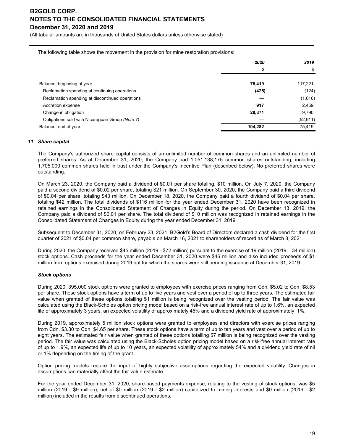(All tabular amounts are in thousands of United States dollars unless otherwise stated)

The following table shows the movement in the provision for mine restoration provisions:

|                                                 | 2020    | 2019      |
|-------------------------------------------------|---------|-----------|
|                                                 | \$      | \$        |
| Balance, beginning of year                      | 75,419  | 117,221   |
| Reclamation spending at continuing operations   | (425)   | (124)     |
| Reclamation spending at discontinued operations |         | (1,016)   |
| Accretion expense                               | 917     | 2,459     |
| Change in obligation                            | 28,371  | 9.790     |
| Obligations sold with Nicaraguan Group (Note 7) |         | (52, 911) |
| Balance, end of year                            | 104,282 | 75,419    |

#### *11 Share capital*

The Company's authorized share capital consists of an unlimited number of common shares and an unlimited number of preferred shares. As at December 31, 2020, the Company had 1,051,138,175 common shares outstanding, including 1,705,000 common shares held in trust under the Company's Incentive Plan (described below). No preferred shares were outstanding.

On March 23, 2020, the Company paid a dividend of \$0.01 per share totaling, \$10 million. On July 7, 2020, the Company paid a second dividend of \$0.02 per share, totaling \$21 million. On September 30, 2020, the Company paid a third dividend of \$0.04 per share, totaling \$43 million. On December 18, 2020, the Company paid a fourth dividend of \$0.04 per share, totaling \$42 million. The total dividends of \$116 million for the year ended December 31, 2020 have been recognized in retained earnings in the Consolidated Statement of Changes in Equity during the period. On December 13, 2019, the Company paid a dividend of \$0.01 per share. The total dividend of \$10 million was recognized in retained earnings in the Consolidated Statement of Changes in Equity during the year ended December 31, 2019.

Subsequent to December 31, 2020, on February 23, 2021, B2Gold's Board of Directors declared a cash dividend for the first quarter of 2021 of \$0.04 per common share, payable on March 16, 2021 to shareholders of record as of March 8, 2021.

During 2020, the Company received \$45 million (2019 - \$72 million) pursuant to the exercise of 19 million (2019 – 34 million) stock options. Cash proceeds for the year ended December 31, 2020 were \$46 million and also included proceeds of \$1 million from options exercised during 2019 but for which the shares were still pending issuance at December 31, 2019.

#### *Stock options*

During 2020, 395,000 stock options were granted to employees with exercise prices ranging from Cdn. \$5.02 to Cdn. \$8.53 per share. These stock options have a term of up to five years and vest over a period of up to three years. The estimated fair value when granted of these options totalling \$1 million is being recognized over the vesting period. The fair value was calculated using the Black-Scholes option pricing model based on a risk-free annual interest rate of up to 1.6%, an expected life of approximately 3 years, an expected volatility of approximately 45% and a dividend yield rate of approximately 1%.

During 2019, approximately 5 million stock options were granted to employees and directors with exercise prices ranging from Cdn. \$3.30 to Cdn. \$4.65 per share. These stock options have a term of up to ten years and vest over a period of up to eight years. The estimated fair value when granted of these options totalling \$7 million is being recognized over the vesting period. The fair value was calculated using the Black-Scholes option pricing model based on a risk-free annual interest rate of up to 1.9%, an expected life of up to 10 years, an expected volatility of approximately 54% and a dividend yield rate of nil or 1% depending on the timing of the grant.

Option pricing models require the input of highly subjective assumptions regarding the expected volatility. Changes in assumptions can materially affect the fair value estimate.

For the year ended December 31, 2020, share-based payments expense, relating to the vesting of stock options, was \$5 million (2019 - \$9 million), net of \$0 million (2019 - \$2 million) capitalized to mining interests and \$0 million (2019 - \$2 million) included in the results from discontinued operations.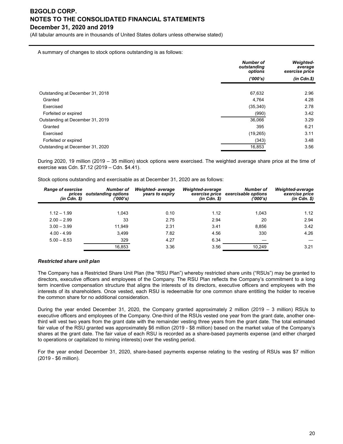(All tabular amounts are in thousands of United States dollars unless otherwise stated)

A summary of changes to stock options outstanding is as follows:

|                                  | <b>Number of</b><br>outstanding<br>options | <b>Weighted-</b><br>average<br>exercise price |
|----------------------------------|--------------------------------------------|-----------------------------------------------|
|                                  | ('000's)                                   | $(in$ $Cdn.$ \$)                              |
| Outstanding at December 31, 2018 | 67,632                                     | 2.96                                          |
| Granted                          | 4,764                                      | 4.28                                          |
| Exercised                        | (35, 340)                                  | 2.78                                          |
| Forfeited or expired             | (990)                                      | 3.42                                          |
| Outstanding at December 31, 2019 | 36,066                                     | 3.29                                          |
| Granted                          | 395                                        | 6.21                                          |
| Exercised                        | (19, 265)                                  | 3.11                                          |
| Forfeited or expired             | (343)                                      | 3.48                                          |
| Outstanding at December 31, 2020 | 16,853                                     | 3.56                                          |

During 2020, 19 million (2019 – 35 million) stock options were exercised. The weighted average share price at the time of exercise was Cdn. \$7.12 (2019 – Cdn. \$4.41).

Stock options outstanding and exercisable as at December 31, 2020 are as follows:

| <b>Range of exercise</b><br>prices<br>$(in$ $Cdn.$ $\$ | Number of<br>outstanding options<br>('000's) | <b>Weighted-</b> average<br>years to expiry | Weighted-average<br>exercise price<br>(in Cdn. \$) | Number of<br>exercisable options<br>('000's) | Weighted-average<br>exercise price<br>(in Cdn. \$) |
|--------------------------------------------------------|----------------------------------------------|---------------------------------------------|----------------------------------------------------|----------------------------------------------|----------------------------------------------------|
|                                                        |                                              |                                             |                                                    |                                              |                                                    |
| $1.12 - 1.99$                                          | 1.043                                        | 0.10                                        | 1.12                                               | 1.043                                        | 1.12                                               |
| $2.00 - 2.99$                                          | 33                                           | 2.75                                        | 2.94                                               | 20                                           | 2.94                                               |
| $3.00 - 3.99$                                          | 11.949                                       | 2.31                                        | 3.41                                               | 8,856                                        | 3.42                                               |
| $4.00 - 4.99$                                          | 3,499                                        | 7.82                                        | 4.56                                               | 330                                          | 4.26                                               |
| $5.00 - 8.53$                                          | 329                                          | 4.27                                        | 6.34                                               |                                              |                                                    |
|                                                        | 16,853                                       | 3.36                                        | 3.56                                               | 10.249                                       | 3.21                                               |
|                                                        |                                              |                                             |                                                    |                                              |                                                    |

#### *Restricted share unit plan*

The Company has a Restricted Share Unit Plan (the "RSU Plan") whereby restricted share units ("RSUs") may be granted to directors, executive officers and employees of the Company. The RSU Plan reflects the Company's commitment to a long term incentive compensation structure that aligns the interests of its directors, executive officers and employees with the interests of its shareholders. Once vested, each RSU is redeemable for one common share entitling the holder to receive the common share for no additional consideration.

During the year ended December 31, 2020, the Company granted approximately 2 million (2019 – 3 million) RSUs to executive officers and employees of the Company. One-third of the RSUs vested one year from the grant date, another onethird will vest two years from the grant date with the remainder vesting three years from the grant date. The total estimated fair value of the RSU granted was approximately \$6 million (2019 - \$8 million) based on the market value of the Company's shares at the grant date. The fair value of each RSU is recorded as a share-based payments expense (and either charged to operations or capitalized to mining interests) over the vesting period.

For the year ended December 31, 2020, share-based payments expense relating to the vesting of RSUs was \$7 million (2019 - \$6 million).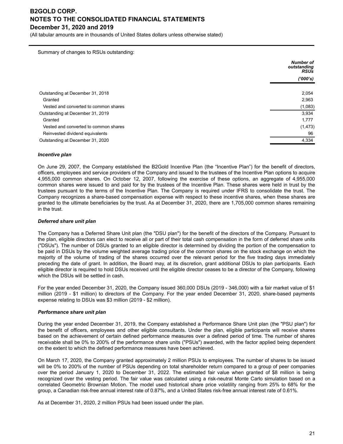(All tabular amounts are in thousands of United States dollars unless otherwise stated)

Summary of changes to RSUs outstanding:

|                                       | Number of<br>outstanding<br><b>RSUs</b> |
|---------------------------------------|-----------------------------------------|
|                                       | ('000's)                                |
|                                       |                                         |
| Outstanding at December 31, 2018      | 2,054                                   |
| Granted                               | 2,963                                   |
| Vested and converted to common shares | (1,083)                                 |
| Outstanding at December 31, 2019      | 3,934                                   |
| Granted                               | 1,777                                   |
| Vested and converted to common shares | (1, 473)                                |
| Reinvested dividend equivalents       | 96                                      |
| Outstanding at December 31, 2020      | 4,334                                   |

#### *Incentive plan*

On June 29, 2007, the Company established the B2Gold Incentive Plan (the "Incentive Plan") for the benefit of directors, officers, employees and service providers of the Company and issued to the trustees of the Incentive Plan options to acquire 4,955,000 common shares. On October 12, 2007, following the exercise of these options, an aggregate of 4,955,000 common shares were issued to and paid for by the trustees of the Incentive Plan. These shares were held in trust by the trustees pursuant to the terms of the Incentive Plan. The Company is required under IFRS to consolidate the trust. The Company recognizes a share-based compensation expense with respect to these incentive shares, when these shares are granted to the ultimate beneficiaries by the trust. As at December 31, 2020, there are 1,705,000 common shares remaining in the trust.

#### *Deferred share unit plan*

The Company has a Deferred Share Unit plan (the "DSU plan") for the benefit of the directors of the Company. Pursuant to the plan, eligible directors can elect to receive all or part of their total cash compensation in the form of deferred share units ("DSUs"). The number of DSUs granted to an eligible director is determined by dividing the portion of the compensation to be paid in DSUs by the volume weighted average trading price of the common shares on the stock exchange on which the majority of the volume of trading of the shares occurred over the relevant period for the five trading days immediately preceding the date of grant. In addition, the Board may, at its discretion, grant additional DSUs to plan participants. Each eligible director is required to hold DSUs received until the eligible director ceases to be a director of the Company, following which the DSUs will be settled in cash.

For the year ended December 31, 2020, the Company issued 360,000 DSUs (2019 - 346,000) with a fair market value of \$1 million (2019 - \$1 million) to directors of the Company. For the year ended December 31, 2020, share-based payments expense relating to DSUs was \$3 million (2019 - \$2 million).

#### *Performance share unit plan*

During the year ended December 31, 2019, the Company established a Performance Share Unit plan (the "PSU plan") for the benefit of officers, employees and other eligible consultants. Under the plan, eligible participants will receive shares based on the achievement of certain defined performance measures over a defined period of time. The number of shares receivable shall be 0% to 200% of the performance share units ("PSUs") awarded, with the factor applied being dependent on the extent to which the defined performance measures have been achieved.

On March 17, 2020, the Company granted approximately 2 million PSUs to employees. The number of shares to be issued will be 0% to 200% of the number of PSUs depending on total shareholder return compared to a group of peer companies over the period January 1, 2020 to December 31, 2022. The estimated fair value when granted of \$8 million is being recognized over the vesting period. The fair value was calculated using a risk-neutral Monte Carlo simulation based on a correlated Geometric Brownian Motion. The model used historical share price volatility ranging from 25% to 68% for the group, a Canadian risk-free annual interest rate of 0.87%, and a United States risk-free annual interest rate of 0.61%.

As at December 31, 2020, 2 million PSUs had been issued under the plan.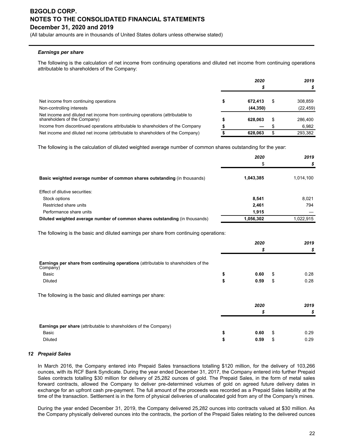(All tabular amounts are in thousands of United States dollars unless otherwise stated)

#### *Earnings per share*

The following is the calculation of net income from continuing operations and diluted net income from continuing operations attributable to shareholders of the Company:

|                                                                                                               | 2020 |           | 2019      |  |
|---------------------------------------------------------------------------------------------------------------|------|-----------|-----------|--|
|                                                                                                               |      | D         |           |  |
| Net income from continuing operations                                                                         | S    | 672.413   | 308.859   |  |
| Non-controlling interests                                                                                     |      | (44, 350) | (22, 459) |  |
| Net income and diluted net income from continuing operations (attributable to<br>shareholders of the Company) | S    | 628.063   | 286.400   |  |
| Income from discontinued operations attributable to shareholders of the Company                               |      |           | 6,982     |  |
| Net income and diluted net income (attributable to shareholders of the Company)                               |      | 628.063   | 293,382   |  |

The following is the calculation of diluted weighted average number of common shares outstanding for the year:

|                                                                                                | 2020       | 2019       |
|------------------------------------------------------------------------------------------------|------------|------------|
|                                                                                                | S          | \$         |
| Basic weighted average number of common shares outstanding (in thousands)                      | 1,043,385  | 1,014,100  |
| Effect of dilutive securities:                                                                 |            |            |
| Stock options                                                                                  | 8,541      | 8,021      |
| Restricted share units                                                                         | 2,461      | 794        |
| Performance share units                                                                        | 1,915      |            |
| Diluted weighted average number of common shares outstanding (in thousands)                    | 1,056,302  | 1,022,915  |
|                                                                                                | 2020<br>S  | 2019<br>\$ |
| Earnings per share from continuing operations (attributable to shareholders of the<br>Company) |            |            |
| Basic                                                                                          | \$<br>0.60 | \$<br>0.28 |
| <b>Diluted</b>                                                                                 | \$<br>0.59 | \$<br>0.28 |
| The following is the basic and diluted earnings per share:                                     |            |            |
|                                                                                                | 2020       | 2019       |
|                                                                                                | S          | \$         |
| <b>Earnings per share</b> (attributable to shareholders of the Company)                        |            |            |
| <b>Basic</b>                                                                                   | \$<br>0.60 | \$<br>0.29 |
| <b>Diluted</b>                                                                                 | \$<br>0.59 | \$<br>0.29 |

#### *12 Prepaid Sales*

In March 2016, the Company entered into Prepaid Sales transactions totalling \$120 million, for the delivery of 103,266 ounces, with its RCF Bank Syndicate. During the year ended December 31, 2017, the Company entered into further Prepaid Sales contracts totalling \$30 million for delivery of 25,282 ounces of gold. The Prepaid Sales, in the form of metal sales forward contracts, allowed the Company to deliver pre-determined volumes of gold on agreed future delivery dates in exchange for an upfront cash pre-payment. The full amount of the proceeds was recorded as a Prepaid Sales liability at the time of the transaction. Settlement is in the form of physical deliveries of unallocated gold from any of the Company's mines.

During the year ended December 31, 2019, the Company delivered 25,282 ounces into contracts valued at \$30 million. As the Company physically delivered ounces into the contracts, the portion of the Prepaid Sales relating to the delivered ounces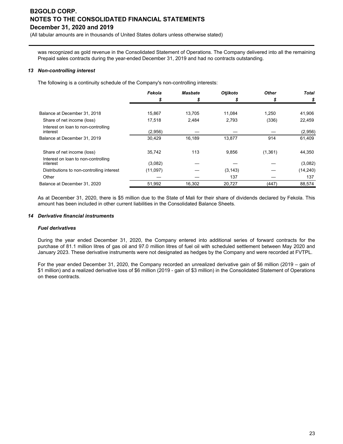(All tabular amounts are in thousands of United States dollars unless otherwise stated)

was recognized as gold revenue in the Consolidated Statement of Operations. The Company delivered into all the remaining Prepaid sales contracts during the year-ended December 31, 2019 and had no contracts outstanding.

#### *13 Non-controlling interest*

The following is a continuity schedule of the Company's non-controlling interests:

|                                                 | Fekola   | <b>Masbate</b> | <b>Otjikoto</b> | <b>Other</b> | <b>Total</b> |
|-------------------------------------------------|----------|----------------|-----------------|--------------|--------------|
|                                                 | \$       | S              |                 |              |              |
|                                                 |          |                |                 |              |              |
| Balance at December 31, 2018                    | 15,867   | 13,705         | 11,084          | 1,250        | 41,906       |
| Share of net income (loss)                      | 17,518   | 2,484          | 2,793           | (336)        | 22,459       |
| Interest on loan to non-controlling<br>interest | (2,956)  |                |                 |              | (2,956)      |
| Balance at December 31, 2019                    | 30,429   | 16,189         | 13,877          | 914          | 61,409       |
| Share of net income (loss)                      | 35,742   | 113            | 9,856           | (1, 361)     | 44,350       |
| Interest on loan to non-controlling<br>interest | (3,082)  |                |                 |              | (3,082)      |
| Distributions to non-controlling interest       | (11,097) |                | (3, 143)        |              | (14, 240)    |
| Other                                           |          |                | 137             |              | 137          |
| Balance at December 31, 2020                    | 51,992   | 16,302         | 20,727          | (447)        | 88,574       |

As at December 31, 2020, there is \$5 million due to the State of Mali for their share of dividends declared by Fekola. This amount has been included in other current liabilities in the Consolidated Balance Sheets.

#### *14 Derivative financial instruments*

#### *Fuel derivatives*

During the year ended December 31, 2020, the Company entered into additional series of forward contracts for the purchase of 81.1 million litres of gas oil and 97.0 million litres of fuel oil with scheduled settlement between May 2020 and January 2023. These derivative instruments were not designated as hedges by the Company and were recorded at FVTPL.

For the year ended December 31, 2020, the Company recorded an unrealized derivative gain of \$6 million (2019 – gain of \$1 million) and a realized derivative loss of \$6 million (2019 - gain of \$3 million) in the Consolidated Statement of Operations on these contracts.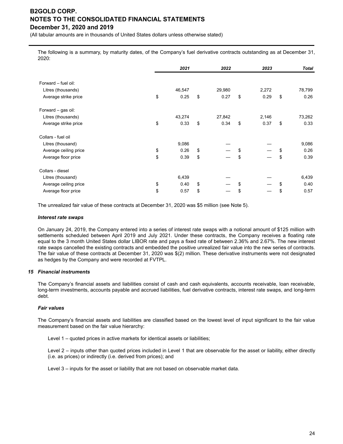(All tabular amounts are in thousands of United States dollars unless otherwise stated)

The following is a summary, by maturity dates, of the Company's fuel derivative contracts outstanding as at December 31, 2020:

|                       | 2021       | 2022       | 2023       | Total      |
|-----------------------|------------|------------|------------|------------|
| Forward - fuel oil:   |            |            |            |            |
| Litres (thousands)    | 46,547     | 29,980     | 2,272      | 78,799     |
| Average strike price  | \$<br>0.25 | \$<br>0.27 | \$<br>0.29 | \$<br>0.26 |
| Forward - gas oil:    |            |            |            |            |
| Litres (thousands)    | 43,274     | 27,842     | 2,146      | 73,262     |
| Average strike price  | \$<br>0.33 | \$<br>0.34 | \$<br>0.37 | \$<br>0.33 |
| Collars - fuel oil    |            |            |            |            |
| Litres (thousand)     | 9,086      |            |            | 9,086      |
| Average ceiling price | \$<br>0.26 | \$         | \$         | \$<br>0.26 |
| Average floor price   | \$<br>0.39 | \$         | \$         | \$<br>0.39 |
| Collars - diesel      |            |            |            |            |
| Litres (thousand)     | 6,439      |            |            | 6,439      |
| Average ceiling price | \$<br>0.40 | \$         | \$         | \$<br>0.40 |
| Average floor price   | \$<br>0.57 | \$         | \$         | \$<br>0.57 |

The unrealized fair value of these contracts at December 31, 2020 was \$5 million (see Note 5).

#### *Interest rate swaps*

On January 24, 2019, the Company entered into a series of interest rate swaps with a notional amount of \$125 million with settlements scheduled between April 2019 and July 2021. Under these contracts, the Company receives a floating rate equal to the 3 month United States dollar LIBOR rate and pays a fixed rate of between 2.36% and 2.67%. The new interest rate swaps cancelled the existing contracts and embedded the positive unrealized fair value into the new series of contracts. The fair value of these contracts at December 31, 2020 was \$(2) million. These derivative instruments were not designated as hedges by the Company and were recorded at FVTPL.

#### *15 Financial instruments*

The Company's financial assets and liabilities consist of cash and cash equivalents, accounts receivable, loan receivable, long-term investments, accounts payable and accrued liabilities, fuel derivative contracts, interest rate swaps, and long-term debt.

#### *Fair values*

The Company's financial assets and liabilities are classified based on the lowest level of input significant to the fair value measurement based on the fair value hierarchy:

Level 1 – quoted prices in active markets for identical assets or liabilities;

Level 2 – inputs other than quoted prices included in Level 1 that are observable for the asset or liability, either directly (i.e. as prices) or indirectly (i.e. derived from prices); and

Level 3 – inputs for the asset or liability that are not based on observable market data.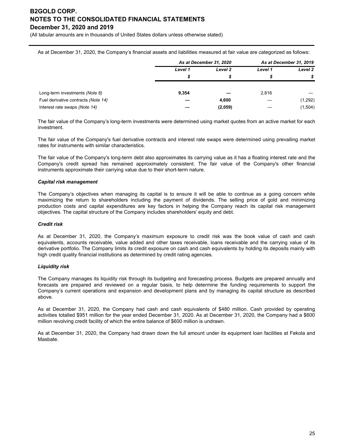(All tabular amounts are in thousands of United States dollars unless otherwise stated)

As at December 31, 2020, the Company's financial assets and liabilities measured at fair value are categorized as follows:

|                                     |         | As at December 31, 2020 |         | As at December 31, 2019 |
|-------------------------------------|---------|-------------------------|---------|-------------------------|
|                                     | Level 1 | Level 2                 | Level 1 | Level 2                 |
|                                     | S       | S                       | \$      | S                       |
| Long-term investments (Note 8)      | 9,354   |                         | 2.816   |                         |
| Fuel derivative contracts (Note 14) |         | 4,600                   |         | (1,292)                 |
| Interest rate swaps (Note 14)       |         | (2,059)                 |         | (1,504)                 |

The fair value of the Company's long-term investments were determined using market quotes from an active market for each investment.

The fair value of the Company's fuel derivative contracts and interest rate swaps were determined using prevailing market rates for instruments with similar characteristics.

The fair value of the Company's long-term debt also approximates its carrying value as it has a floating interest rate and the Company's credit spread has remained approximately consistent. The fair value of the Company's other financial instruments approximate their carrying value due to their short-term nature.

#### *Capital risk management*

The Company's objectives when managing its capital is to ensure it will be able to continue as a going concern while maximizing the return to shareholders including the payment of dividends. The selling price of gold and minimizing production costs and capital expenditures are key factors in helping the Company reach its capital risk management objectives. The capital structure of the Company includes shareholders' equity and debt.

#### *Credit risk*

As at December 31, 2020, the Company's maximum exposure to credit risk was the book value of cash and cash equivalents, accounts receivable, value added and other taxes receivable, loans receivable and the carrying value of its derivative portfolio. The Company limits its credit exposure on cash and cash equivalents by holding its deposits mainly with high credit quality financial institutions as determined by credit rating agencies.

#### *Liquidity risk*

The Company manages its liquidity risk through its budgeting and forecasting process. Budgets are prepared annually and forecasts are prepared and reviewed on a regular basis, to help determine the funding requirements to support the Company's current operations and expansion and development plans and by managing its capital structure as described above.

As at December 31, 2020, the Company had cash and cash equivalents of \$480 million. Cash provided by operating activities totalled \$951 million for the year ended December 31, 2020. As at December 31, 2020, the Company had a \$600 million revolving credit facility of which the entire balance of \$600 million is undrawn.

As at December 31, 2020, the Company had drawn down the full amount under its equipment loan facilities at Fekola and Masbate.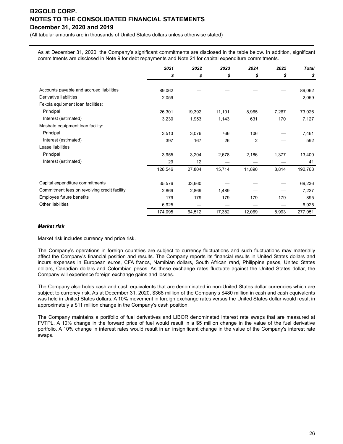(All tabular amounts are in thousands of United States dollars unless otherwise stated)

As at December 31, 2020, the Company's significant commitments are disclosed in the table below. In addition, significant commitments are disclosed in Note 9 for debt repayments and Note 21 for capital expenditure commitments.

|                                              | 2021    | 2022   | 2023   | 2024   | 2025  | <b>Total</b> |
|----------------------------------------------|---------|--------|--------|--------|-------|--------------|
|                                              | \$      | \$     | \$     | \$     | \$    | \$           |
|                                              |         |        |        |        |       |              |
| Accounts payable and accrued liabilities     | 89,062  |        |        |        |       | 89,062       |
| Derivative liabilities                       | 2,059   |        |        |        |       | 2,059        |
| Fekola equipment loan facilities:            |         |        |        |        |       |              |
| Principal                                    | 26,301  | 19,392 | 11,101 | 8,965  | 7,267 | 73,026       |
| Interest (estimated)                         | 3,230   | 1,953  | 1,143  | 631    | 170   | 7,127        |
| Masbate equipment loan facility:             |         |        |        |        |       |              |
| Principal                                    | 3,513   | 3,076  | 766    | 106    |       | 7,461        |
| Interest (estimated)                         | 397     | 167    | 26     | 2      |       | 592          |
| Lease liabilities                            |         |        |        |        |       |              |
| Principal                                    | 3,955   | 3,204  | 2,678  | 2,186  | 1,377 | 13,400       |
| Interest (estimated)                         | 29      | 12     |        |        |       | 41           |
|                                              | 128,546 | 27,804 | 15,714 | 11,890 | 8,814 | 192,768      |
| Capital expenditure commitments              | 35,576  | 33,660 |        |        |       | 69,236       |
|                                              |         |        |        |        |       |              |
| Commitment fees on revolving credit facility | 2,869   | 2,869  | 1,489  |        |       | 7,227        |
| Employee future benefits                     | 179     | 179    | 179    | 179    | 179   | 895          |
| Other liabilities                            | 6,925   |        |        |        |       | 6,925        |
|                                              | 174,095 | 64,512 | 17,382 | 12,069 | 8,993 | 277,051      |

#### *Market risk*

Market risk includes currency and price risk.

The Company's operations in foreign countries are subject to currency fluctuations and such fluctuations may materially affect the Company's financial position and results. The Company reports its financial results in United States dollars and incurs expenses in European euros, CFA francs, Namibian dollars, South African rand, Philippine pesos, United States dollars, Canadian dollars and Colombian pesos. As these exchange rates fluctuate against the United States dollar, the Company will experience foreign exchange gains and losses.

The Company also holds cash and cash equivalents that are denominated in non-United States dollar currencies which are subject to currency risk. As at December 31, 2020, \$368 million of the Company's \$480 million in cash and cash equivalents was held in United States dollars. A 10% movement in foreign exchange rates versus the United States dollar would result in approximately a \$11 million change in the Company's cash position.

The Company maintains a portfolio of fuel derivatives and LIBOR denominated interest rate swaps that are measured at FVTPL. A 10% change in the forward price of fuel would result in a \$5 million change in the value of the fuel derivative portfolio. A 10% change in interest rates would result in an insignificant change in the value of the Company's interest rate swaps.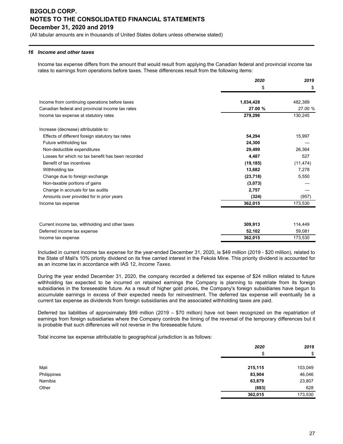(All tabular amounts are in thousands of United States dollars unless otherwise stated)

#### *16 Income and other taxes*

Income tax expense differs from the amount that would result from applying the Canadian federal and provincial income tax rates to earnings from operations before taxes. These differences result from the following items:

|                                                   | 2020      | 2019      |
|---------------------------------------------------|-----------|-----------|
|                                                   | \$        | \$        |
| Income from continuing operations before taxes    | 1,034,428 | 482,389   |
| Canadian federal and provincial income tax rates  | 27.00 %   | 27.00 %   |
| Income tax expense at statutory rates             | 279,296   | 130,245   |
| Increase (decrease) attributable to:              |           |           |
| Effects of different foreign statutory tax rates  | 54,294    | 15,997    |
| Future withholding tax                            | 24,300    |           |
| Non-deductible expenditures                       | 29,499    | 26,364    |
| Losses for which no tax benefit has been recorded | 4.487     | 527       |
| Benefit of tax incentives                         | (19, 185) | (11, 474) |
| Withholding tax                                   | 13,682    | 7,278     |
| Change due to foreign exchange                    | (23, 718) | 5,550     |
| Non-taxable portions of gains                     | (3,073)   |           |
| Change in accruals for tax audits                 | 2,757     |           |
| Amounts over provided for in prior years          | (324)     | (957)     |
| Income tax expense                                | 362,015   | 173,530   |
|                                                   |           |           |
| Current income tax, withholding and other taxes   | 309,913   | 114,449   |
| Deferred income tax expense                       | 52,102    | 59,081    |
| Income tax expense                                | 362,015   | 173,530   |

Included in current income tax expense for the year-ended December 31, 2020, is \$49 million (2019 - \$20 million), related to the State of Mali's 10% priority dividend on its free carried interest in the Fekola Mine. This priority dividend is accounted for as an income tax in accordance with IAS 12, *Income Taxes.*

During the year ended December 31, 2020, the company recorded a deferred tax expense of \$24 million related to future withholding tax expected to be incurred on retained earnings the Company is planning to repatriate from its foreign subsidiaries in the foreseeable future. As a result of higher gold prices, the Company's foreign subsidiaries have begun to accumulate earnings in excess of their expected needs for reinvestment. The deferred tax expense will eventually be a current tax expense as dividends from foreign subsidiaries and the associated withholding taxes are paid.

Deferred tax liabilities of approximately \$99 million (2019 – \$70 million) have not been recognized on the repatriation of earnings from foreign subsidiaries where the Company controls the timing of the reversal of the temporary differences but it is probable that such differences will not reverse in the foreseeable future.

Total income tax expense attributable to geographical jurisdiction is as follows:

|             | 2020<br>S | 2019<br>\$ |
|-------------|-----------|------------|
|             |           |            |
| Mali        | 215,115   | 103,049    |
| Philippines | 83,904    | 46,046     |
| Namibia     | 63,879    | 23,807     |
| Other       | (883)     | 628        |
|             | 362,015   | 173,530    |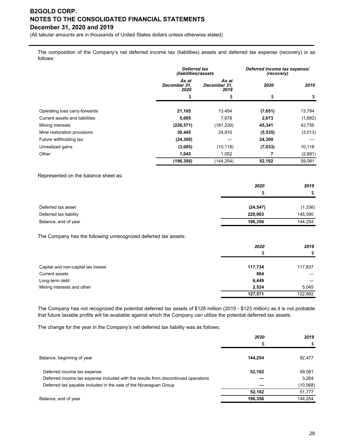(All tabular amounts are in thousands of United States dollars unless otherwise stated)

The composition of the Company's net deferred income tax (liabilities) assets and deferred tax expense (recovery) is as follows:

|                                |                               | Deferred tax<br>(liabilities)/assets |          | Deferred income tax expense/<br>(recovery) |
|--------------------------------|-------------------------------|--------------------------------------|----------|--------------------------------------------|
|                                | As at<br>December 31.<br>2020 | As at<br>December 31.<br>2019        | 2020     | 2019                                       |
|                                | \$                            | \$                                   | \$       | \$                                         |
| Operating loss carry-forwards  | 21,105                        | 13,454                               | (7,651)  | 13,794                                     |
| Current assets and liabilities | 5,005                         | 7,678                                | 2,673    | (1,682)                                    |
| Mining interests               | (226, 571)                    | (181, 230)                           | 45,341   | 42,755                                     |
| Mine restoration provisions    | 30,445                        | 24,910                               | (5, 535) | (3,013)                                    |
| Future withholding tax         | (24, 300)                     |                                      | 24,300   |                                            |
| Unrealized gains               | (3,085)                       | (10, 118)                            | (7,033)  | 10,118                                     |
| Other                          | 1,045                         | 1,052                                |          | (2,891)                                    |
|                                | (196, 356)                    | (144,254)                            | 52,102   | 59,081                                     |

Represented on the balance sheet as:

|                        | 2020      | 2019     |
|------------------------|-----------|----------|
|                        | \$        | \$       |
| Deferred tax asset     | (24, 547) | (1, 336) |
| Deferred tax liability | 220,903   | 145,590  |
| Balance, end of year   | 196,356   | 144,254  |

The Company has the following unrecognized deferred tax assets:

|                                    | 2020    | 2019    |
|------------------------------------|---------|---------|
|                                    | \$      | \$      |
| Capital and non-capital tax losses | 117,734 | 117,837 |
| Current assets                     | 864     |         |
| Long-term debt                     | 6,449   |         |
| Mining interests and other         | 2,524   | 5,045   |
|                                    | 127,571 | 122,882 |

The Company has not recognized the potential deferred tax assets of \$128 million (2019 - \$123 million) as it is not probable that future taxable profits will be available against which the Company can utilize the potential deferred tax assets.

The change for the year in the Company's net deferred tax liability was as follows:

|                                                                                    | 2020    | 2019      |
|------------------------------------------------------------------------------------|---------|-----------|
|                                                                                    | \$      |           |
| Balance, beginning of year                                                         | 144,254 | 92,477    |
| Deferred income tax expense                                                        | 52,102  | 59,081    |
| Deferred income tax expense included with the results from discontinued operations |         | 3,264     |
| Deferred tax payable included in the sale of the Nicaraguan Group                  |         | (10, 568) |
|                                                                                    | 52,102  | 51,777    |
| Balance, end of year                                                               | 196,356 | 144.254   |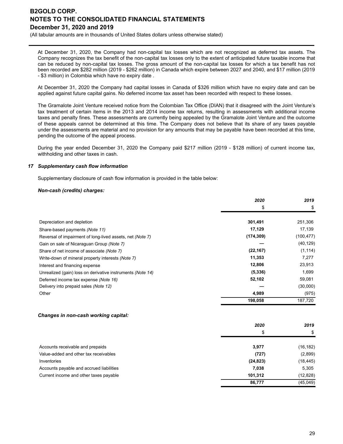(All tabular amounts are in thousands of United States dollars unless otherwise stated)

At December 31, 2020, the Company had non-capital tax losses which are not recognized as deferred tax assets. The Company recognizes the tax benefit of the non-capital tax losses only to the extent of anticipated future taxable income that can be reduced by non-capital tax losses. The gross amount of the non-capital tax losses for which a tax benefit has not been recorded are \$282 million (2019 - \$262 million) in Canada which expire between 2027 and 2040, and \$17 million (2019 - \$3 million) in Colombia which have no expiry date .

At December 31, 2020 the Company had capital losses in Canada of \$326 million which have no expiry date and can be applied against future capital gains. No deferred income tax asset has been recorded with respect to these losses.

The Gramalote Joint Venture received notice from the Colombian Tax Office (DIAN) that it disagreed with the Joint Venture's tax treatment of certain items in the 2013 and 2014 income tax returns, resulting in assessments with additional income taxes and penalty fines. These assessments are currently being appealed by the Gramalote Joint Venture and the outcome of these appeals cannot be determined at this time. The Company does not believe that its share of any taxes payable under the assessments are material and no provision for any amounts that may be payable have been recorded at this time, pending the outcome of the appeal process.

During the year ended December 31, 2020 the Company paid \$217 million (2019 - \$128 million) of current income tax, withholding and other taxes in cash.

#### *17 Supplementary cash flow information*

Supplementary disclosure of cash flow information is provided in the table below:

#### *Non-cash (credits) charges:*

|                                                            | 2020       | 2019       |
|------------------------------------------------------------|------------|------------|
|                                                            | \$         | \$         |
| Depreciation and depletion                                 | 301,491    | 251,306    |
| Share-based payments (Note 11)                             | 17,129     | 17,139     |
| Reversal of impairment of long-lived assets, net (Note 7)  | (174, 309) | (100, 477) |
| Gain on sale of Nicaraguan Group (Note 7)                  |            | (40, 129)  |
| Share of net income of associate (Note 7)                  | (22, 167)  | (1, 114)   |
| Write-down of mineral property interests (Note 7)          | 11,353     | 7,277      |
| Interest and financing expense                             | 12,806     | 23,913     |
| Unrealized (gain) loss on derivative instruments (Note 14) | (5, 336)   | 1,699      |
| Deferred income tax expense (Note 16)                      | 52,102     | 59,081     |
| Delivery into prepaid sales (Note 12)                      |            | (30,000)   |
| Other                                                      | 4,989      | (975)      |
|                                                            | 198,058    | 187,720    |

#### *Changes in non-cash working capital:*

|                                          | 2020      | 2019      |
|------------------------------------------|-----------|-----------|
|                                          | \$        | \$        |
| Accounts receivable and prepaids         | 3,977     | (16, 182) |
| Value-added and other tax receivables    | (727)     | (2,899)   |
| Inventories                              | (24, 823) | (18, 445) |
| Accounts payable and accrued liabilities | 7,038     | 5,305     |
| Current income and other taxes payable   | 101,312   | (12, 828) |
|                                          | 86,777    | (45, 049) |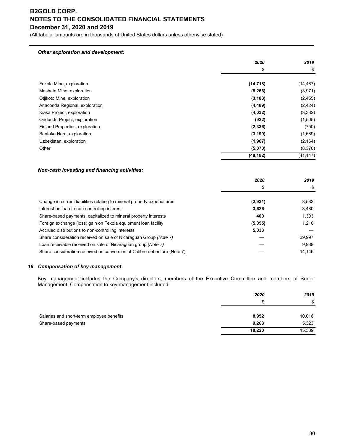(All tabular amounts are in thousands of United States dollars unless otherwise stated)

#### *Other exploration and development:*

|                                 | 2020      | 2019      |
|---------------------------------|-----------|-----------|
|                                 | \$        | \$        |
|                                 |           |           |
| Fekola Mine, exploration        | (14, 718) | (14, 487) |
| Masbate Mine, exploration       | (8, 266)  | (3,971)   |
| Otjikoto Mine, exploration      | (3, 183)  | (2, 455)  |
| Anaconda Regional, exploration  | (4, 489)  | (2, 424)  |
| Kiaka Project, exploration      | (4,032)   | (3, 332)  |
| Ondundu Project, exploration    | (922)     | (1,505)   |
| Finland Properties, exploration | (2, 336)  | (750)     |
| Bantako Nord, exploration       | (3, 199)  | (1,689)   |
| Uzbekistan, exploration         | (1, 967)  | (2, 164)  |
| Other                           | (5,070)   | (8,370)   |
|                                 | (48, 182) | (41, 147) |

#### *Non-cash investing and financing activities:*

|                                                                          | 2020    | 2019   |
|--------------------------------------------------------------------------|---------|--------|
|                                                                          | \$      | \$     |
|                                                                          |         |        |
| Change in current liabilities relating to mineral property expenditures  | (2,931) | 8,533  |
| Interest on loan to non-controlling interest                             | 3,626   | 3,480  |
| Share-based payments, capitalized to mineral property interests          | 400     | 1,303  |
| Foreign exchange (loss) gain on Fekola equipment loan facility           | (5,055) | 1.210  |
| Accrued distributions to non-controlling interests                       | 5,033   |        |
| Share consideration received on sale of Nicaraguan Group (Note 7)        |         | 39,997 |
| Loan receivable received on sale of Nicaraguan group (Note 7)            |         | 9.939  |
| Share consideration received on conversion of Calibre debenture (Note 7) |         | 14.146 |

#### *18 Compensation of key management*

Key management includes the Company's directors, members of the Executive Committee and members of Senior Management. Compensation to key management included:

|                                           | 2020   | 2019   |
|-------------------------------------------|--------|--------|
|                                           | \$     | \$     |
|                                           |        |        |
| Salaries and short-term employee benefits | 8,952  | 10,016 |
| Share-based payments                      | 9,268  | 5,323  |
|                                           | 18,220 | 15,339 |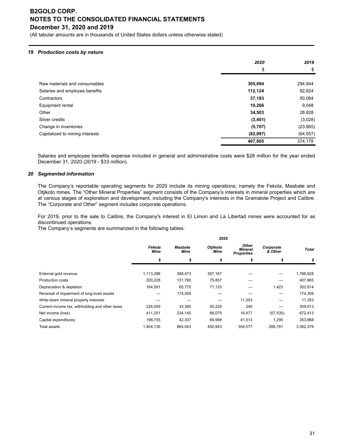(All tabular amounts are in thousands of United States dollars unless otherwise stated)

#### *19 Production costs by nature*

|                                 | 2020      | 2019      |
|---------------------------------|-----------|-----------|
|                                 | \$        | \$        |
|                                 |           |           |
| Raw materials and consumables   | 305,894   | 294,844   |
| Salaries and employee benefits  | 112,124   | 82,824    |
| Contractors                     | 37,183    | 50,084    |
| Equipment rental                | 10,266    | 9,048     |
| Other                           | 34,503    | 28,828    |
| Silver credits                  | (3,401)   | (3,028)   |
| Change in inventories           | (5,707)   | (23, 865) |
| Capitalized to mining interests | (82, 997) | (64, 557) |
|                                 | 407,865   | 374,178   |

Salaries and employee benefits expense included in general and administrative costs were \$28 million for the year ended December 31, 2020 (2019 - \$33 million).

#### *20 Segmented information*

The Company's reportable operating segments for 2020 include its mining operations, namely the Fekola, Masbate and Otjikoto mines. The "Other Mineral Properties" segment consists of the Company's interests in mineral properties which are at various stages of exploration and development, including the Company's interests in the Gramalote Project and Calibre. The "Corporate and Other" segment includes corporate operations.

For 2019, prior to the sale to Calibre, the Company's interest in El Limon and La Libertad mines were accounted for as discontinued operations.

The Company's segments are summarized in the following tables:

|                                                 |                       |                        | 2020             |                                                     |                      |           |
|-------------------------------------------------|-----------------------|------------------------|------------------|-----------------------------------------------------|----------------------|-----------|
|                                                 | Fekola<br><b>Mine</b> | <b>Masbate</b><br>Mine | Otjikoto<br>Mine | <b>Other</b><br><b>Mineral</b><br><b>Properties</b> | Corporate<br>& Other | Total     |
|                                                 | \$                    | \$                     | \$               | \$                                                  | \$                   | \$        |
| External gold revenue                           | 1,113,288             | 368,473                | 307,167          |                                                     |                      | 1,788,928 |
| Production costs                                | 200,228               | 131,780                | 75,857           |                                                     |                      | 407,865   |
| Depreciation & depletion                        | 164,591               | 65,775                 | 71,125           |                                                     | 1,423                | 302,914   |
| Reversal of impairment of long-lived assets     |                       | 174,309                |                  |                                                     |                      | 174,309   |
| Write-down mineral property interests           |                       |                        |                  | 11,353                                              |                      | 11,353    |
| Current income tax, withholding and other taxes | 226,059               | 33,385                 | 50,229           | 240                                                 |                      | 309,913   |
| Net income (loss)                               | 411,251               | 234,145                | 68,075           | 16,477                                              | (57, 535)            | 672,413   |
| Capital expenditures                            | 198,755               | 42,307                 | 69,998           | 41,513                                              | 1.295                | 353,868   |
| Total assets                                    | 1,404,135             | 864,043                | 450,843          | 354,577                                             | 288,781              | 3,362,379 |
|                                                 |                       |                        |                  |                                                     |                      |           |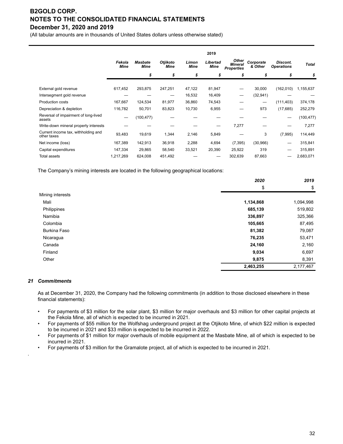(All tabular amounts are in thousands of United States dollars unless otherwise stated)

|                                                    | 2019           |                        |                  |                      |                  |                                              |                      |                               |              |  |
|----------------------------------------------------|----------------|------------------------|------------------|----------------------|------------------|----------------------------------------------|----------------------|-------------------------------|--------------|--|
|                                                    | Fekola<br>Mine | <b>Masbate</b><br>Mine | Otjikoto<br>Mine | Limon<br><b>Mine</b> | Libertad<br>Mine | Other<br><b>Mineral</b><br><b>Properties</b> | Corporate<br>& Other | Discont.<br><b>Operations</b> | <b>Total</b> |  |
|                                                    |                | \$                     | \$               | \$                   | \$               | \$                                           | \$                   | \$                            | \$           |  |
| External gold revenue                              | 617,452        | 293,875                | 247,251          | 47,122               | 81,947           |                                              | 30,000               | (162, 010)                    | 1,155,637    |  |
| Intersegment gold revenue                          |                |                        |                  | 16,532               | 16,409           |                                              | (32, 941)            |                               |              |  |
| Production costs                                   | 167,667        | 124,534                | 81,977           | 36,860               | 74,543           |                                              | –                    | (111, 403)                    | 374,178      |  |
| Depreciation & depletion                           | 116,782        | 50,701                 | 83,823           | 10,730               | 6,955            |                                              | 973                  | (17, 685)                     | 252,279      |  |
| Reversal of impairment of long-lived<br>assets     |                | (100, 477)             |                  |                      |                  |                                              |                      |                               | (100,477)    |  |
| Write-down mineral property interests              |                |                        |                  |                      |                  | 7,277                                        |                      |                               | 7,277        |  |
| Current income tax, withholding and<br>other taxes | 93,483         | 19,619                 | 1,344            | 2,146                | 5,849            |                                              | 3                    | (7,995)                       | 114,449      |  |
| Net income (loss)                                  | 167,389        | 142,913                | 36,918           | 2,288                | 4,694            | (7, 395)                                     | (30, 966)            |                               | 315,841      |  |
| Capital expenditures                               | 147,334        | 29,865                 | 58,540           | 33,521               | 20,390           | 25,922                                       | 319                  | -                             | 315,891      |  |
| Total assets                                       | 1,217,269      | 624,008                | 451,492          |                      |                  | 302,639                                      | 87,663               |                               | 2,683,071    |  |

The Company's mining interests are located in the following geographical locations:

|                     | 2020      | 2019      |
|---------------------|-----------|-----------|
|                     | \$        | \$        |
| Mining interests    |           |           |
| Mali                | 1,134,868 | 1,094,998 |
| Philippines         | 685,139   | 519,802   |
| Namibia             | 336,897   | 325,366   |
| Colombia            | 105,665   | 87,495    |
| <b>Burkina Faso</b> | 81,382    | 79,087    |
| Nicaragua           | 76,235    | 53,471    |
| Canada              | 24,160    | 2,160     |
| Finland             | 9,034     | 6,697     |
| Other               | 9,875     | 8,391     |
|                     | 2,463,255 | 2,177,467 |

#### *21 Commitments*

.

As at December 31, 2020, the Company had the following commitments (in addition to those disclosed elsewhere in these financial statements):

- For payments of \$3 million for the solar plant, \$3 million for major overhauls and \$3 million for other capital projects at the Fekola Mine, all of which is expected to be incurred in 2021.
- For payments of \$55 million for the Wolfshag underground project at the Otjikoto Mine, of which \$22 million is expected to be incurred in 2021 and \$33 million is expected to be incurred in 2022.
- For payments of \$1 million for major overhauls of mobile equipment at the Masbate Mine, all of which is expected to be incurred in 2021.
- For payments of \$3 million for the Gramalote project, all of which is expected to be incurred in 2021.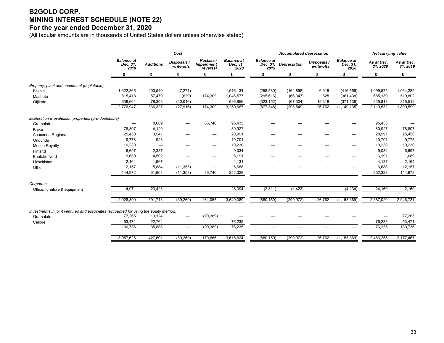## **B2GOLD CORP. MINING INTEREST SCHEDULE (NOTE 22)**

### **For the year ended December 31, 2020**

(All tabular amounts are in thousands of United States dollars unless otherwise stated)

|                                                                                      | Cost                                  |                          |                           |                                            |                                       | <b>Accumulated depreciation</b>       | <b>Net carrying value</b>       |                           |                                       |                        |                        |
|--------------------------------------------------------------------------------------|---------------------------------------|--------------------------|---------------------------|--------------------------------------------|---------------------------------------|---------------------------------------|---------------------------------|---------------------------|---------------------------------------|------------------------|------------------------|
|                                                                                      | <b>Balance</b> at<br>Dec. 31,<br>2019 | <b>Additions</b>         | Disposals /<br>write-offs | Reclass /<br><b>Impairment</b><br>reversal | <b>Balance</b> at<br>Dec. 31,<br>2020 | <b>Balance</b> at<br>Dec. 31,<br>2019 | <b>Depreciation</b>             | Disposals /<br>write-offs | <b>Balance</b> at<br>Dec. 31,<br>2020 | As at Dec.<br>31, 2020 | As at Dec.<br>31, 2019 |
|                                                                                      | S                                     | \$                       | \$.                       | \$                                         | \$                                    |                                       |                                 | \$.                       | S                                     |                        | \$                     |
| Property, plant and equipment (depletable)                                           |                                       |                          |                           |                                            |                                       |                                       |                                 |                           |                                       |                        |                        |
| Fekola                                                                               | 1,322,865                             | 200,540                  | (7, 271)                  |                                            | 1,516,134                             | (258, 580)                            | (164, 898)                      | 6,919                     | (416, 559)                            | 1,099,575              | 1,064,285              |
| Masbate                                                                              | 815,418                               | 57,479                   | (629)                     | 174,309                                    | 1,046,577                             | (295, 616)                            | (66, 347)                       | 525                       | (361, 438)                            | 685,139                | 519,802                |
| Otjikoto                                                                             | 638,664                               | 78,308                   | (20, 016)                 | —                                          | 696,956                               | (323, 152)                            | (67, 304)                       | 19,318                    | (371, 138)                            | 325,818                | 315,512                |
|                                                                                      | 2,776,947                             | 336,327                  | (27, 916)                 | 174,309                                    | 3,259,667                             | (877, 348)                            | (298, 549)                      | 26,762                    | (1, 149, 135)                         | 2,110,532              | 1,899,599              |
| Exploration & evaluation properties (pre-depletable)                                 |                                       |                          |                           |                                            |                                       |                                       |                                 |                           |                                       |                        |                        |
| Gramalote                                                                            | —                                     | 8,689                    |                           | 86,746                                     | 95,435                                |                                       |                                 |                           |                                       | 95,435                 |                        |
| Kiaka                                                                                | 76,807                                | 4,120                    |                           |                                            | 80,927                                |                                       |                                 |                           |                                       | 80,927                 | 76,807                 |
| Anaconda Regional                                                                    | 25,450                                | 3,541                    |                           |                                            | 28,991                                |                                       |                                 |                           |                                       | 28,991                 | 25,450                 |
| Ondundu                                                                              | 9,778                                 | 923                      |                           |                                            | 10,701                                |                                       |                                 |                           | —                                     | 10,701                 | 9,778                  |
| Mocoa Royalty                                                                        | 10,230                                | $\overline{\phantom{0}}$ |                           | —                                          | 10,230                                |                                       |                                 |                           |                                       | 10,230                 | 10,230                 |
| Finland                                                                              | 6,697                                 | 2,337                    |                           |                                            | 9,034                                 |                                       |                                 |                           | —                                     | 9,034                  | 6,697                  |
| <b>Bantako Nord</b>                                                                  | 1,689                                 | 4,502                    |                           | $\qquad \qquad \longleftarrow$             | 6,191                                 |                                       |                                 |                           |                                       | 6,191                  | 1,689                  |
| Uzbekistan                                                                           | 2,164                                 | 1,967                    |                           |                                            | 4,131                                 |                                       |                                 |                           |                                       | 4,131                  | 2,164                  |
| Other                                                                                | 12,157                                | 5,884                    | (11, 353)                 | —                                          | 6,688                                 |                                       |                                 |                           |                                       | 6,688                  | 12,157                 |
|                                                                                      | 144,972                               | 31,963                   | (11, 353)                 | 86,746                                     | 252,328                               |                                       | $\overline{\phantom{0}}$        | $\qquad \qquad -$         | $\overline{\phantom{m}}$              | 252,328                | 144,972                |
| Corporate                                                                            |                                       |                          |                           |                                            |                                       |                                       |                                 |                           |                                       |                        |                        |
| Office, furniture & equipment                                                        | 4,971                                 | 23,423                   |                           |                                            | 28,394                                | (2, 811)                              | (1, 423)                        |                           | (4, 234)                              | 24,160                 | 2,160                  |
|                                                                                      | 2,926,890                             | 391,713                  | (39, 269)                 | 261,055                                    | 3,540,389                             | (880, 159)                            | (299, 972)                      | 26,762                    | (1, 153, 369)                         | 2,387,020              | 2,046,731              |
| Investments in joint ventures and associates (accounted for using the equity method) |                                       |                          |                           |                                            |                                       |                                       |                                 |                           |                                       |                        |                        |
| Gramalote                                                                            | 77,265                                | 13,124                   |                           | (90, 389)                                  |                                       |                                       |                                 |                           |                                       |                        | 77,265                 |
| Calibre                                                                              | 53,471                                | 22,764                   |                           |                                            | 76,235                                |                                       |                                 |                           |                                       | 76,235                 | 53,471                 |
|                                                                                      | 130,736                               | 35,888                   | $\overline{\phantom{m}}$  | (90, 389)                                  | 76,235                                | $\overline{\phantom{m}}$              | $\hspace{0.1mm}-\hspace{0.1mm}$ | $\qquad \qquad -$         | $\overline{\phantom{0}}$              | 76,235                 | 130,736                |
|                                                                                      |                                       |                          |                           |                                            |                                       |                                       |                                 |                           |                                       |                        |                        |
|                                                                                      | 3,057,626                             | 427,601                  | (39, 269)                 | 170,666                                    | 3,616,624                             | (880, 159)                            | (299, 972)                      | 26,762                    | (1, 153, 369)                         | 2,463,255              | 2,177,467              |